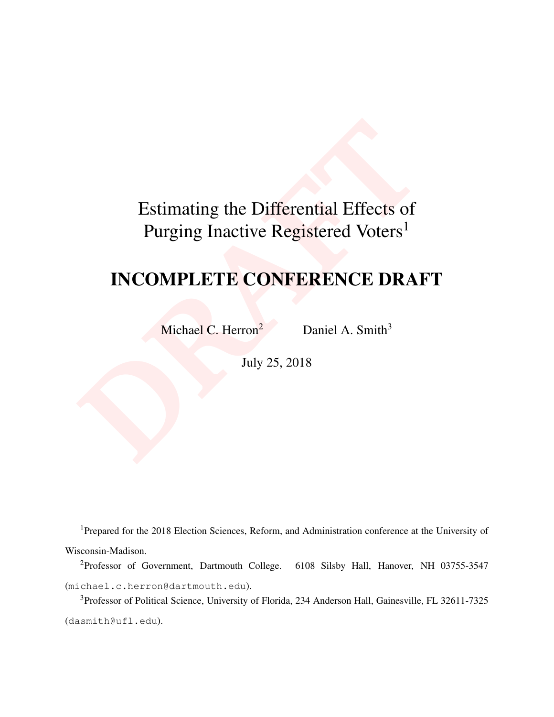# <span id="page-0-0"></span>Estimating the Differential Effects of<br>Purging Inactive Registered Voters<sup>1</sup><br>INCOMPLETE CONFERENCE DRAI<br>Michael C. Herron<sup>2</sup> Daniel A. Smith<sup>3</sup><br>July 25, 2018 Estimating the Differential Effects of Purging Inactive Registered Voters<sup>1</sup>

# INCOMPLETE CONFERENCE DRAFT

Michael C. Herron<sup>2</sup> Daniel A. Smith<sup>3</sup>

July 25, 2018

<sup>1</sup>Prepared for the 2018 Election Sciences, Reform, and Administration conference at the University of Wisconsin-Madison.

<sup>2</sup>Professor of Government, Dartmouth College. 6108 Silsby Hall, Hanover, NH 03755-3547 (michael.c.herron@dartmouth.edu).

<sup>3</sup>Professor of Political Science, University of Florida, 234 Anderson Hall, Gainesville, FL 32611-7325 (dasmith@ufl.edu).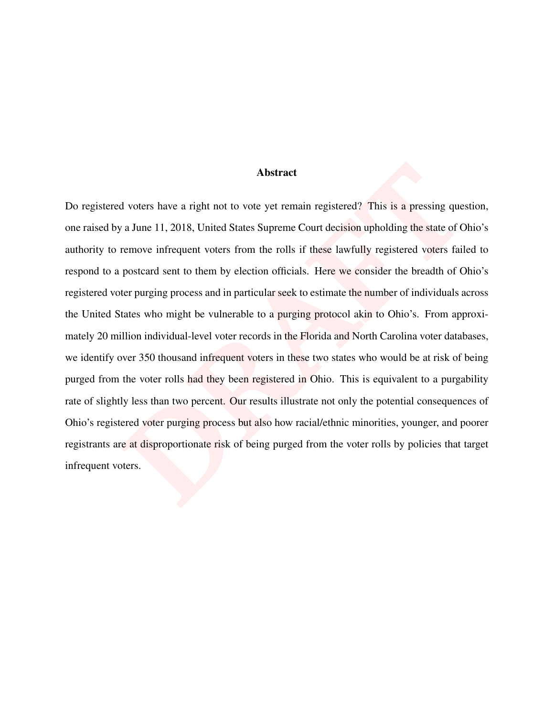#### Abstract

**Abstract**<br>**DRAFT ABSTANCE ADSTANCE ADSTANCE ADSTANCE ADSTANCE ADSTANCE SCALL STATES AND VALUE AND THE STATE ADDED THE UP THE STATE OF THE UP THE UP THE UP THE UP THE UP THE UP THE UP THE UP THE UP THE UP THE UP THE UP THE** Do registered voters have a right not to vote yet remain registered? This is a pressing question, one raised by a June 11, 2018, United States Supreme Court decision upholding the state of Ohio's authority to remove infrequent voters from the rolls if these lawfully registered voters failed to respond to a postcard sent to them by election officials. Here we consider the breadth of Ohio's registered voter purging process and in particular seek to estimate the number of individuals across the United States who might be vulnerable to a purging protocol akin to Ohio's. From approximately 20 million individual-level voter records in the Florida and North Carolina voter databases, we identify over 350 thousand infrequent voters in these two states who would be at risk of being purged from the voter rolls had they been registered in Ohio. This is equivalent to a purgability rate of slightly less than two percent. Our results illustrate not only the potential consequences of Ohio's registered voter purging process but also how racial/ethnic minorities, younger, and poorer registrants are at disproportionate risk of being purged from the voter rolls by policies that target infrequent voters.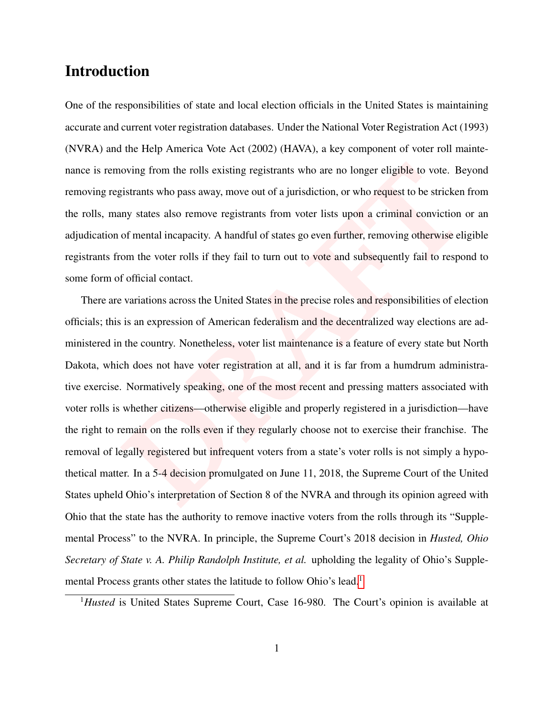# Introduction

One of the responsibilities of state and local election officials in the United States is maintaining accurate and current voter registration databases. Under the National Voter Registration Act (1993) (NVRA) and the Help America Vote Act (2002) (HAVA), a key component of voter roll maintenance is removing from the rolls existing registrants who are no longer eligible to vote. Beyond removing registrants who pass away, move out of a jurisdiction, or who request to be stricken from the rolls, many states also remove registrants from voter lists upon a criminal conviction or an adjudication of mental incapacity. A handful of states go even further, removing otherwise eligible registrants from the voter rolls if they fail to turn out to vote and subsequently fail to respond to some form of official contact.

oving from the rolls existing registrants who are no longer eligible to vote. Be<br>istrants who pass away, move out of a jurisdiction, or who request to be stricken<br>my states also remove registrants from voter lists upon a c There are variations across the United States in the precise roles and responsibilities of election officials; this is an expression of American federalism and the decentralized way elections are administered in the country. Nonetheless, voter list maintenance is a feature of every state but North Dakota, which does not have voter registration at all, and it is far from a humdrum administrative exercise. Normatively speaking, one of the most recent and pressing matters associated with voter rolls is whether citizens—otherwise eligible and properly registered in a jurisdiction—have the right to remain on the rolls even if they regularly choose not to exercise their franchise. The removal of legally registered but infrequent voters from a state's voter rolls is not simply a hypothetical matter. In a 5-4 decision promulgated on June 11, 2018, the Supreme Court of the United States upheld Ohio's interpretation of Section 8 of the NVRA and through its opinion agreed with Ohio that the state has the authority to remove inactive voters from the rolls through its "Supplemental Process" to the NVRA. In principle, the Supreme Court's 2018 decision in *Husted, Ohio Secretary of State v. A. Philip Randolph Institute, et al.* upholding the legality of Ohio's Supple-mental Process grants other states the latitude to follow Ohio's lead.<sup>[1](#page-0-0)</sup>

<sup>1</sup>Husted is United States Supreme Court, Case 16-980. The Court's opinion is available at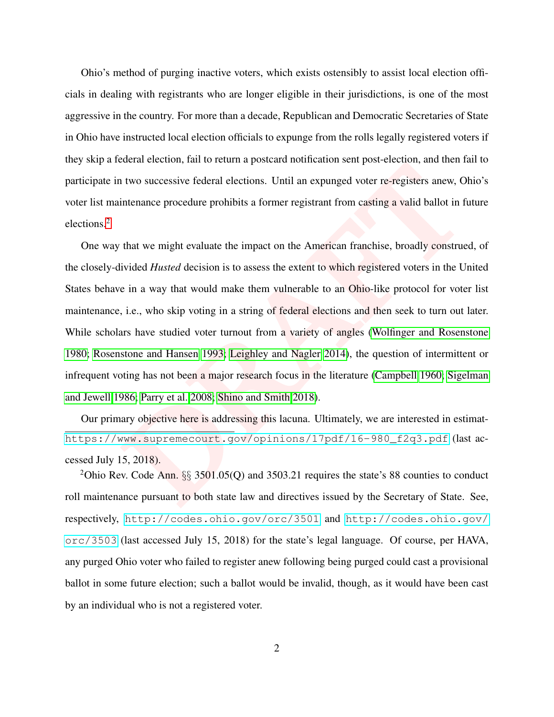Ohio's method of purging inactive voters, which exists ostensibly to assist local election officials in dealing with registrants who are longer eligible in their jurisdictions, is one of the most aggressive in the country. For more than a decade, Republican and Democratic Secretaries of State in Ohio have instructed local election officials to expunge from the rolls legally registered voters if they skip a federal election, fail to return a postcard notification sent post-election, and then fail to participate in two successive federal elections. Until an expunged voter re-registers anew, Ohio's voter list maintenance procedure prohibits a former registrant from casting a valid ballot in future elections.[2](#page-0-0)

It was such that the set of the set of the set of the set of the set of the set of the set of the set of the set of the set of the set of the set of the set of the set of the set of the set of the set of the set of the set One way that we might evaluate the impact on the American franchise, broadly construed, of the closely-divided *Husted* decision is to assess the extent to which registered voters in the United States behave in a way that would make them vulnerable to an Ohio-like protocol for voter list maintenance, i.e., who skip voting in a string of federal elections and then seek to turn out later. While scholars have studied voter turnout from a variety of angles [\(Wolfinger and Rosenstone](#page-33-0) [1980;](#page-33-0) [Rosenstone and Hansen](#page-33-1) 1993; Leighley and Nagler 2014), the question of intermittent or infrequent voting has not been a major research focus in the literature (Campbell 1960; [Sigelman](#page-33-2) [and Jewell 1986;](#page-33-2) Parry et al. 2008; Shino and Smith 2018).

Our primary objective here is addressing this lacuna. Ultimately, we are interested in estimat[https://www.supremecourt.gov/opinions/17pdf/16-980\\_f2q3.pdf](https://www.supremecourt.gov/opinions/17pdf/16-980_f2q3.pdf) (last accessed July 15, 2018).

<sup>2</sup>Ohio Rev. Code Ann.  $\S$  3501.05(Q) and 3503.21 requires the state's 88 counties to conduct roll maintenance pursuant to both state law and directives issued by the Secretary of State. See, respectively, <http://codes.ohio.gov/orc/3501> and [http://codes.ohio.gov/](http://codes.ohio.gov/orc/3503) [orc/3503](http://codes.ohio.gov/orc/3503) (last accessed July 15, 2018) for the state's legal language. Of course, per HAVA, any purged Ohio voter who failed to register anew following being purged could cast a provisional ballot in some future election; such a ballot would be invalid, though, as it would have been cast by an individual who is not a registered voter.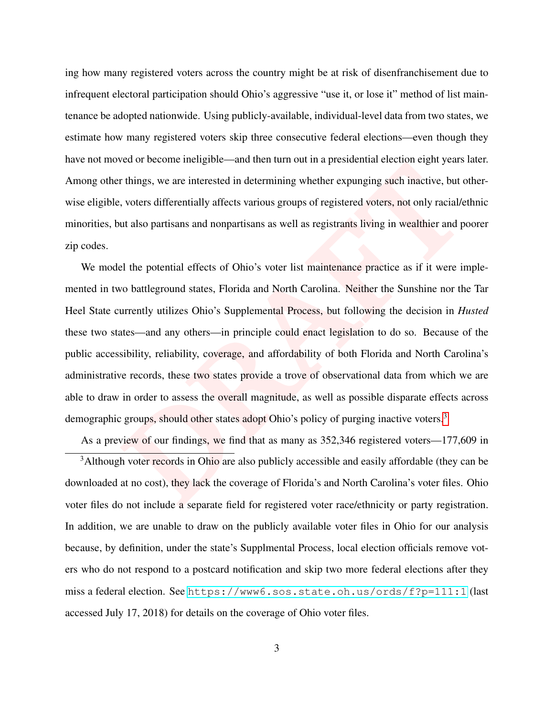ing how many registered voters across the country might be at risk of disenfranchisement due to infrequent electoral participation should Ohio's aggressive "use it, or lose it" method of list maintenance be adopted nationwide. Using publicly-available, individual-level data from two states, we estimate how many registered voters skip three consecutive federal elections—even though they have not moved or become ineligible—and then turn out in a presidential election eight years later. Among other things, we are interested in determining whether expunging such inactive, but otherwise eligible, voters differentially affects various groups of registered voters, not only racial/ethnic minorities, but also partisans and nonpartisans as well as registrants living in wealthier and poorer zip codes.

refluxes are interested in determining whether expunsing such inactive, but c, voters differentially affects various groups of registered voters, not only racial/e ut also partisans and nonpartisans as well as registrants We model the potential effects of Ohio's voter list maintenance practice as if it were implemented in two battleground states, Florida and North Carolina. Neither the Sunshine nor the Tar Heel State currently utilizes Ohio's Supplemental Process, but following the decision in *Husted* these two states—and any others—in principle could enact legislation to do so. Because of the public accessibility, reliability, coverage, and affordability of both Florida and North Carolina's administrative records, these two states provide a trove of observational data from which we are able to draw in order to assess the overall magnitude, as well as possible disparate effects across demographic groups, should other states adopt Ohio's policy of purging inactive voters.<sup>3</sup>

As a preview of our findings, we find that as many as 352,346 registered voters—177,609 in <sup>3</sup>Although voter records in Ohio are also publicly accessible and easily affordable (they can be downloaded at no cost), they lack the coverage of Florida's and North Carolina's voter files. Ohio voter files do not include a separate field for registered voter race/ethnicity or party registration. In addition, we are unable to draw on the publicly available voter files in Ohio for our analysis because, by definition, under the state's Supplmental Process, local election officials remove voters who do not respond to a postcard notification and skip two more federal elections after they miss a federal election. See <https://www6.sos.state.oh.us/ords/f?p=111:1> (last accessed July 17, 2018) for details on the coverage of Ohio voter files.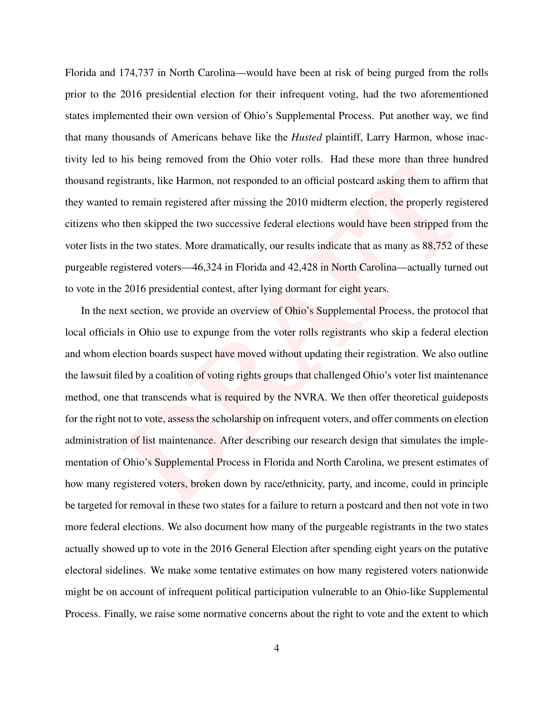Florida and 174,737 in North Carolina—would have been at risk of being purged from the rolls prior to the 2016 presidential election for their infrequent voting, had the two aforementioned states implemented their own version of Ohio's Supplemental Process. Put another way, we find that many thousands of Americans behave like the *Husted* plaintiff, Larry Harmon, whose inactivity led to his being removed from the Ohio voter rolls. Had these more than three hundred thousand registrants, like Harmon, not responded to an official postcard asking them to affirm that they wanted to remain registered after missing the 2010 midterm election, the properly registered citizens who then skipped the two successive federal elections would have been stripped from the voter lists in the two states. More dramatically, our results indicate that as many as 88,752 of these purgeable registered voters—46,324 in Florida and 42,428 in North Carolina—actually turned out to vote in the 2016 presidential contest, after lying dormant for eight years.

Interior and the Unit of the Muslem Interior and then the temperature and interiors.<br>
Instrants, like Harmon, not responded to an official postcard asking them to affirm<br>
to remain registered after missing the 2010 midterm In the next section, we provide an overview of Ohio's Supplemental Process, the protocol that local officials in Ohio use to expunge from the voter rolls registrants who skip a federal election and whom election boards suspect have moved without updating their registration. We also outline the lawsuit filed by a coalition of voting rights groups that challenged Ohio's voter list maintenance method, one that transcends what is required by the NVRA. We then offer theoretical guideposts for the right not to vote, assess the scholarship on infrequent voters, and offer comments on election administration of list maintenance. After describing our research design that simulates the implementation of Ohio's Supplemental Process in Florida and North Carolina, we present estimates of how many registered voters, broken down by race/ethnicity, party, and income, could in principle be targeted for removal in these two states for a failure to return a postcard and then not vote in two more federal elections. We also document how many of the purgeable registrants in the two states actually showed up to vote in the 2016 General Election after spending eight years on the putative electoral sidelines. We make some tentative estimates on how many registered voters nationwide might be on account of infrequent political participation vulnerable to an Ohio-like Supplemental Process. Finally, we raise some normative concerns about the right to vote and the extent to which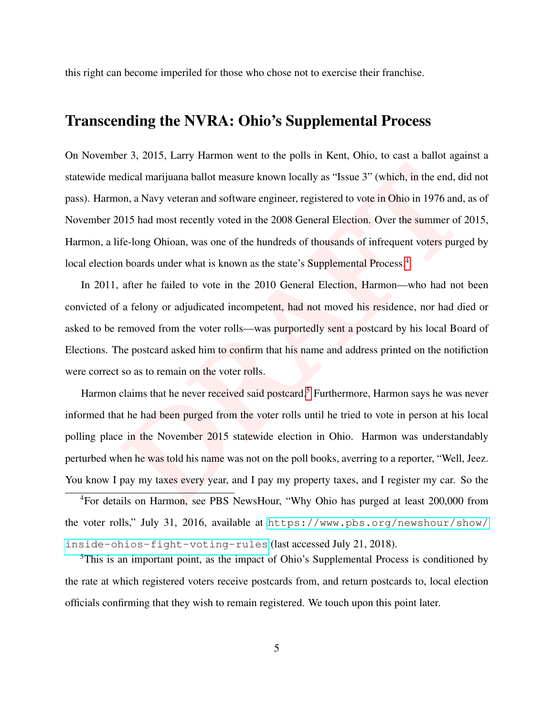this right can become imperiled for those who chose not to exercise their franchise.

# <span id="page-6-0"></span>Transcending the NVRA: Ohio's Supplemental Process

dical marijuana ballot measure known locally as "Issue 3" (which, in the end, dion, a Navy veteran and software engineer, registered to vote in Ohio in 1976 and, 015 had most recently voted in the 2008 General Election. Ov On November 3, 2015, Larry Harmon went to the polls in Kent, Ohio, to cast a ballot against a statewide medical marijuana ballot measure known locally as "Issue 3" (which, in the end, did not pass). Harmon, a Navy veteran and software engineer, registered to vote in Ohio in 1976 and, as of November 2015 had most recently voted in the 2008 General Election. Over the summer of 2015, Harmon, a life-long Ohioan, was one of the hundreds of thousands of infrequent voters purged by local election boards under what is known as the state's Supplemental Process.<sup>4</sup>

In 2011, after he failed to vote in the 2010 General Election, Harmon—who had not been convicted of a felony or adjudicated incompetent, had not moved his residence, nor had died or asked to be removed from the voter rolls—was purportedly sent a postcard by his local Board of Elections. The postcard asked him to confirm that his name and address printed on the notifiction were correct so as to remain on the voter rolls.

Harmon claims that he never received said postcard.<sup>5</sup> Furthermore, Harmon says he was never informed that he had been purged from the voter rolls until he tried to vote in person at his local polling place in the November 2015 statewide election in Ohio. Harmon was understandably perturbed when he was told his name was not on the poll books, averring to a reporter, "Well, Jeez. You know I pay my taxes every year, and I pay my property taxes, and I register my car. So the

<sup>4</sup>For details on Harmon, see PBS NewsHour, "Why Ohio has purged at least 200,000 from the voter rolls," July 31, 2016, available at [https://www.pbs.org/newshour/show/](https://www.pbs.org/newshour/show/inside-ohios-fight-voting-rules) [inside-ohios-fight-voting-rules](https://www.pbs.org/newshour/show/inside-ohios-fight-voting-rules) (last accessed July 21, 2018).

<sup>5</sup>This is an important point, as the impact of Ohio's Supplemental Process is conditioned by the rate at which registered voters receive postcards from, and return postcards to, local election officials confirming that they wish to remain registered. We touch upon this point later.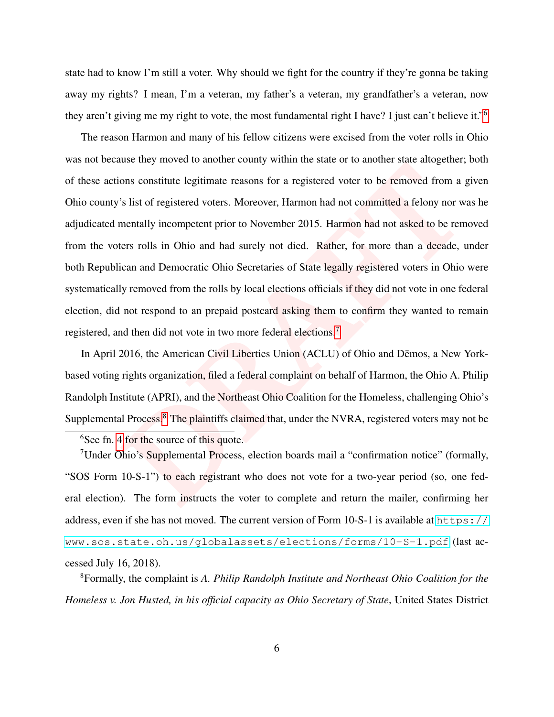state had to know I'm still a voter. Why should we fight for the country if they're gonna be taking away my rights? I mean, I'm a veteran, my father's a veteran, my grandfather's a veteran, now they aren't giving me my right to vote, the most fundamental right I have? I just can't believe it."[6](#page-0-0)

ons constitute legitimate reasons for a registered voter to be removed from a *f*<sup>8</sup> list of registered voters. Moreover, Harmon had not committed a felony nor w mentally incompetent prior to November 2015. Harmon had not The reason Harmon and many of his fellow citizens were excised from the voter rolls in Ohio was not because they moved to another county within the state or to another state altogether; both of these actions constitute legitimate reasons for a registered voter to be removed from a given Ohio county's list of registered voters. Moreover, Harmon had not committed a felony nor was he adjudicated mentally incompetent prior to November 2015. Harmon had not asked to be removed from the voters rolls in Ohio and had surely not died. Rather, for more than a decade, under both Republican and Democratic Ohio Secretaries of State legally registered voters in Ohio were systematically removed from the rolls by local elections officials if they did not vote in one federal election, did not respond to an prepaid postcard asking them to confirm they wanted to remain registered, and then did not vote in two more federal elections.<sup>7</sup>

In April 2016, the American Civil Liberties Union (ACLU) of Ohio and Dēmos, a New Yorkbased voting rights organization, filed a federal complaint on behalf of Harmon, the Ohio A. Philip Randolph Institute (APRI), and the Northeast Ohio Coalition for the Homeless, challenging Ohio's Supplemental Process.<sup>8</sup> The plaintiffs claimed that, under the NVRA, registered voters may not be

<sup>&</sup>lt;sup>6</sup>See fn. [4](#page-6-0) for the source of this quote.

<sup>&</sup>lt;sup>7</sup>Under Ohio's Supplemental Process, election boards mail a "confirmation notice" (formally, "SOS Form 10-S-1") to each registrant who does not vote for a two-year period (so, one federal election). The form instructs the voter to complete and return the mailer, confirming her address, even if she has not moved. The current version of Form 10-S-1 is available at [https://](https://www.sos.state.oh.us/globalassets/elections/forms/10-S-1.pdf) [www.sos.state.oh.us/globalassets/elections/forms/10-S-1.pdf](https://www.sos.state.oh.us/globalassets/elections/forms/10-S-1.pdf) (last accessed July 16, 2018).

<sup>8</sup>Formally, the complaint is *A. Philip Randolph Institute and Northeast Ohio Coalition for the Homeless v. Jon Husted, in his official capacity as Ohio Secretary of State*, United States District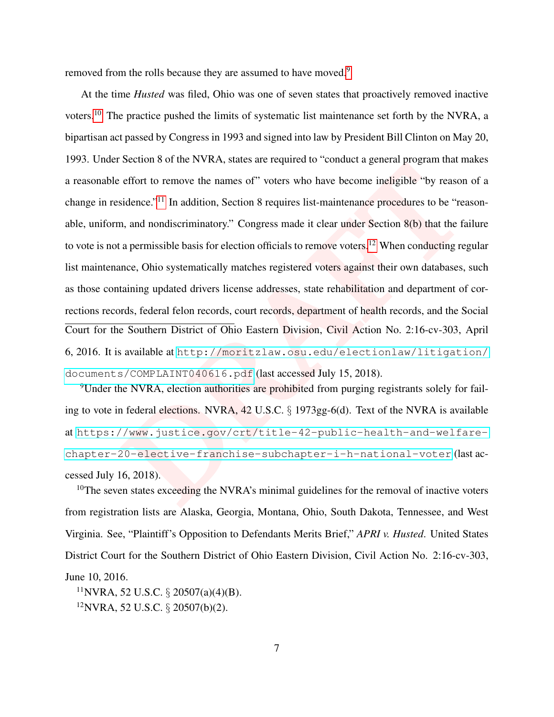removed from the rolls because they are assumed to have moved.<sup>[9](#page-0-0)</sup>

Betanic of the 1441 and delety and delety conduct a guintar program inter-<br>effort to remove the names of" voters who have become ineligible "by reasons<br>idence."<sup>11</sup> In addition, Section 8 requires list-maintenance procedur At the time *Husted* was filed, Ohio was one of seven states that proactively removed inactive voters.[10](#page-0-0) The practice pushed the limits of systematic list maintenance set forth by the NVRA, a bipartisan act passed by Congress in 1993 and signed into law by President Bill Clinton on May 20, 1993. Under Section 8 of the NVRA, states are required to "conduct a general program that makes a reasonable effort to remove the names of" voters who have become ineligible "by reason of a change in residence."<sup>11</sup> In addition, Section 8 requires list-maintenance procedures to be "reasonable, uniform, and nondiscriminatory." Congress made it clear under Section 8(b) that the failure to vote is not a permissible basis for election officials to remove voters.<sup>12</sup> When conducting regular list maintenance, Ohio systematically matches registered voters against their own databases, such as those containing updated drivers license addresses, state rehabilitation and department of corrections records, federal felon records, court records, department of health records, and the Social Court for the Southern District of Ohio Eastern Division, Civil Action No. 2:16-cv-303, April 6, 2016. It is available at [http://moritzlaw.osu.edu/electionlaw/litigation/](http://moritzlaw.osu.edu/electionlaw/litigation/documents/COMPLAINT040616.pdf) documents/COMPLAINT040616.pdf (last accessed July 15, 2018).

<sup>9</sup>Under the NVRA, election authorities are prohibited from purging registrants solely for failing to vote in federal elections. NVRA, 42 U.S.C. § 1973gg-6(d). Text of the NVRA is available at [https://www.justice.gov/crt/title-42-public-health-and-welfare](https://www.justice.gov/crt/title-42-public-health-and-welfare-chapter-20-elective-franchise-subchapter-i-h-national-voter)[chapter-20-elective-franchise-subchapter-i-h-national-voter](https://www.justice.gov/crt/title-42-public-health-and-welfare-chapter-20-elective-franchise-subchapter-i-h-national-voter) (last accessed July 16, 2018).

<sup>10</sup>The seven states exceeding the NVRA's minimal guidelines for the removal of inactive voters from registration lists are Alaska, Georgia, Montana, Ohio, South Dakota, Tennessee, and West Virginia. See, "Plaintiff's Opposition to Defendants Merits Brief," *APRI v. Husted*. United States District Court for the Southern District of Ohio Eastern Division, Civil Action No. 2:16-cv-303, June 10, 2016.

 $11$ NVRA, 52 U.S.C. § 20507(a)(4)(B).  $12$ NVRA, 52 U.S.C. § 20507(b)(2).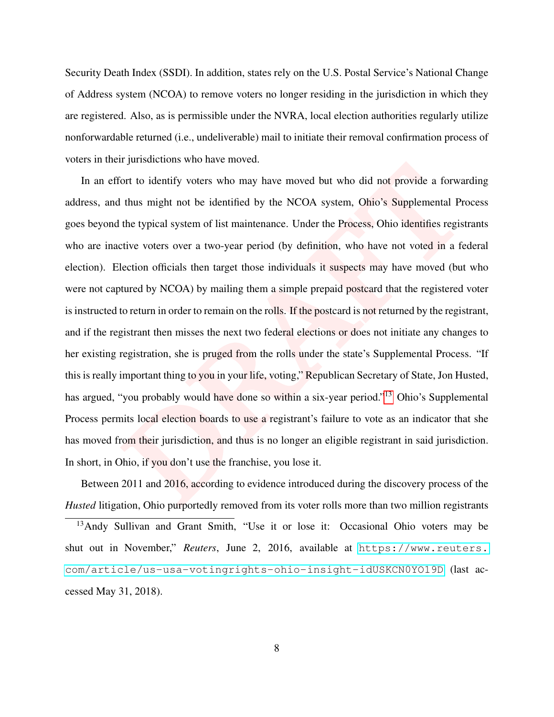Security Death Index (SSDI). In addition, states rely on the U.S. Postal Service's National Change of Address system (NCOA) to remove voters no longer residing in the jurisdiction in which they are registered. Also, as is permissible under the NVRA, local election authorities regularly utilize nonforwardable returned (i.e., undeliverable) mail to initiate their removal confirmation process of voters in their jurisdictions who have moved.

by the matrix whom and have moved but who did not provide a forwar<br>thus might not be identified by the NCOA system, Ohio's Supplemental Pre<br>the typical system of list maintenance. Under the Process, Ohio identifies regist<br> In an effort to identify voters who may have moved but who did not provide a forwarding address, and thus might not be identified by the NCOA system, Ohio's Supplemental Process goes beyond the typical system of list maintenance. Under the Process, Ohio identifies registrants who are inactive voters over a two-year period (by definition, who have not voted in a federal election). Election officials then target those individuals it suspects may have moved (but who were not captured by NCOA) by mailing them a simple prepaid postcard that the registered voter is instructed to return in order to remain on the rolls. If the postcard is not returned by the registrant, and if the registrant then misses the next two federal elections or does not initiate any changes to her existing registration, she is pruged from the rolls under the state's Supplemental Process. "If this is really important thing to you in your life, voting," Republican Secretary of State, Jon Husted, has argued, "you probably would have done so within a six-year period."<sup>13</sup> Ohio's Supplemental Process permits local election boards to use a registrant's failure to vote as an indicator that she has moved from their jurisdiction, and thus is no longer an eligible registrant in said jurisdiction. In short, in Ohio, if you don't use the franchise, you lose it.

Between 2011 and 2016, according to evidence introduced during the discovery process of the *Husted* litigation, Ohio purportedly removed from its voter rolls more than two million registrants

<sup>13</sup>Andy Sullivan and Grant Smith, "Use it or lose it: Occasional Ohio voters may be shut out in November," *Reuters*, June 2, 2016, available at [https://www.reuters.](https://www.reuters.com/article/us-usa-votingrights-ohio-insight-idUSKCN0YO19D) [com/article/us-usa-votingrights-ohio-insight-idUSKCN0YO19D](https://www.reuters.com/article/us-usa-votingrights-ohio-insight-idUSKCN0YO19D) (last accessed May 31, 2018).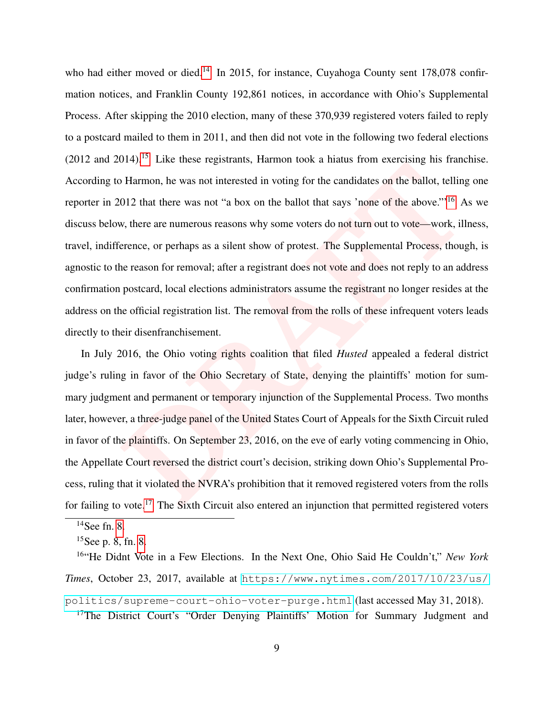Harmon, he was not interested in voting for the called son the ballot, telling<br> [D](#page-0-0)I2 that there was not "a box on the ballot that says "none of the above."<sup>16</sup> A<br>
w, there are numerous reasons why some voters do not turn ou who had either moved or died.<sup>[14](#page-0-0)</sup> In 2015, for instance, Cuyahoga County sent 178,078 confirmation notices, and Franklin County 192,861 notices, in accordance with Ohio's Supplemental Process. After skipping the 2010 election, many of these 370,939 registered voters failed to reply to a postcard mailed to them in 2011, and then did not vote in the following two federal elections  $(2012 \text{ and } 2014).$ <sup>[15](#page-0-0)</sup> Like these registrants, Harmon took a hiatus from exercising his franchise. According to Harmon, he was not interested in voting for the candidates on the ballot, telling one reporter in 2012 that there was not "a box on the ballot that says 'none of the above."'<sup>16</sup> As we discuss below, there are numerous reasons why some voters do not turn out to vote—work, illness, travel, indifference, or perhaps as a silent show of protest. The Supplemental Process, though, is agnostic to the reason for removal; after a registrant does not vote and does not reply to an address confirmation postcard, local elections administrators assume the registrant no longer resides at the address on the official registration list. The removal from the rolls of these infrequent voters leads directly to their disenfranchisement.

In July 2016, the Ohio voting rights coalition that filed *Husted* appealed a federal district judge's ruling in favor of the Ohio Secretary of State, denying the plaintiffs' motion for summary judgment and permanent or temporary injunction of the Supplemental Process. Two months later, however, a three-judge panel of the United States Court of Appeals for the Sixth Circuit ruled in favor of the plaintiffs. On September 23, 2016, on the eve of early voting commencing in Ohio, the Appellate Court reversed the district court's decision, striking down Ohio's Supplemental Process, ruling that it violated the NVRA's prohibition that it removed registered voters from the rolls for failing to vote.<sup>17</sup> The Sixth Circuit also entered an injunction that permitted registered voters

<sup>17</sup>The District Court's "Order Denying Plaintiffs' Motion for Summary Judgment and

 $14$ See fn. [8.](#page-6-0)

 $15$ See p. 8, fn. [8.](#page-6-0)

<sup>16</sup>"He Didnt Vote in a Few Elections. In the Next One, Ohio Said He Couldn't," *New York Times*, October 23, 2017, available at [https://www.nytimes.com/2017/10/23/us/](https://www.nytimes.com/2017/10/23/us/politics/supreme-court-ohio-voter-purge.html) [politics/supreme-court-ohio-voter-purge.html](https://www.nytimes.com/2017/10/23/us/politics/supreme-court-ohio-voter-purge.html) (last accessed May 31, 2018).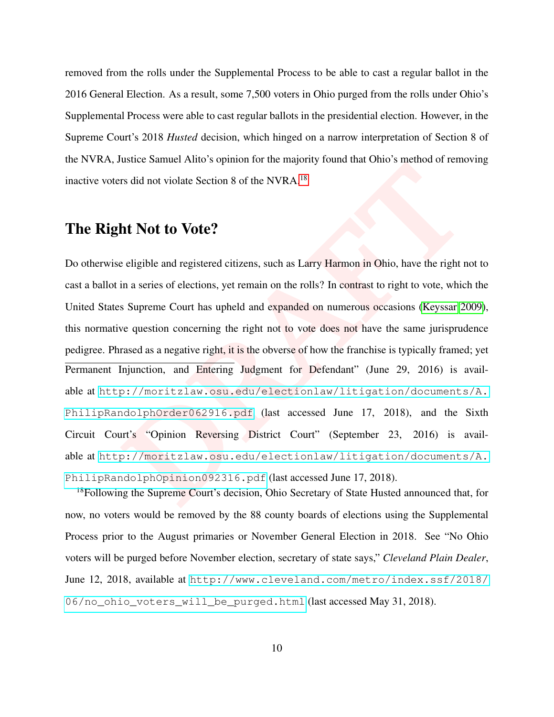removed from the rolls under the Supplemental Process to be able to cast a regular ballot in the 2016 General Election. As a result, some 7,500 voters in Ohio purged from the rolls under Ohio's Supplemental Process were able to cast regular ballots in the presidential election. However, in the Supreme Court's 2018 *Husted* decision, which hinged on a narrow interpretation of Section 8 of the NVRA, Justice Samuel Alito's opinion for the majority found that Ohio's method of removing inactive voters did not violate Section 8 of the NVRA.<sup>18</sup>

## The Right Not to Vote?

ration of the NVRA.<sup>18</sup><br> **[D](http://moritzlaw.osu.edu/electionlaw/litigation/documents/A.PhilipRandolphOpinion092316.pdf)rawing the Control of the NVRA.<sup>18</sup>**<br> **Drawing the Control of the NVRA.<sup>18</sup><br>
<b>Drawing the Control of the NVRA.**<sup>18</sup><br> **Drawing the Example 10** and the result of the registration in Ohio, have the Do otherwise eligible and registered citizens, such as Larry Harmon in Ohio, have the right not to cast a ballot in a series of elections, yet remain on the rolls? In contrast to right to vote, which the United States Supreme Court has upheld and expanded on numerous occasions (Keyssar [2009\)](#page-32-2), this normative question concerning the right not to vote does not have the same jurisprudence pedigree. Phrased as a negative right, it is the obverse of how the franchise is typically framed; yet Permanent Injunction, and Entering Judgment for Defendant" (June 29, 2016) is available at [http://moritzlaw.osu.edu/electionlaw/litigation/documents/A.](http://moritzlaw.osu.edu/electionlaw/litigation/documents/A.PhilipRandolphOrder062916.pdf) [PhilipRandolphOrder062916.pdf](http://moritzlaw.osu.edu/electionlaw/litigation/documents/A.PhilipRandolphOrder062916.pdf) (last accessed June 17, 2018), and the Sixth Circuit Court's "Opinion Reversing District Court" (September 23, 2016) is available at [http://moritzlaw.osu.edu/electionlaw/litigation/documents/A.](http://moritzlaw.osu.edu/electionlaw/litigation/documents/A.PhilipRandolphOpinion092316.pdf) PhilipRandolphOpinion092316.pdf (last accessed June 17, 2018).

<sup>18</sup>Following the Supreme Court's decision, Ohio Secretary of State Husted announced that, for now, no voters would be removed by the 88 county boards of elections using the Supplemental Process prior to the August primaries or November General Election in 2018. See "No Ohio voters will be purged before November election, secretary of state says," *Cleveland Plain Dealer*, June 12, 2018, available at [http://www.cleveland.com/metro/index.ssf/2018/](http://www.cleveland.com/metro/index.ssf/2018/06/no_ohio_voters_will_be_purged.html) [06/no\\_ohio\\_voters\\_will\\_be\\_purged.html](http://www.cleveland.com/metro/index.ssf/2018/06/no_ohio_voters_will_be_purged.html) (last accessed May 31, 2018).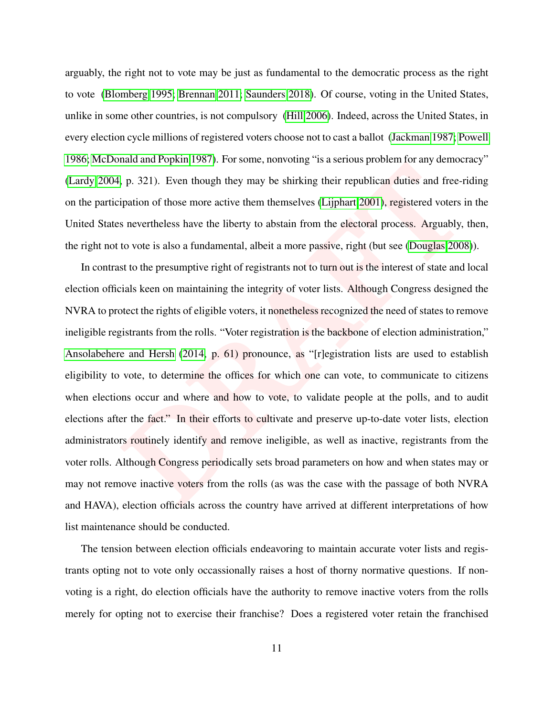arguably, the right not to vote may be just as fundamental to the democratic process as the right to vote [\(Blomberg 1995;](#page-31-1) [Brennan 2011;](#page-31-2) [Saunders 2018\)](#page-33-4). Of course, voting in the United States, unlike in some other countries, is not compulsory [\(Hill 2006\)](#page-32-3). Indeed, across the United States, in every election cycle millions of registered voters choose not to cast a ballot [\(Jackman 1987;](#page-32-4) [Powell](#page-32-5) [1986;](#page-32-5) [McDonald and Popkin 1987\)](#page-32-6). For some, nonvoting "is a serious problem for any democracy" [\(Lardy 2004,](#page-32-7) p. 321). Even though they may be shirking their republican duties and free-riding on the participation of those more active them themselves (Lijphart 2001), registered voters in the United States nevertheless have the liberty to abstain from the electoral process. Arguably, then, the right not to vote is also a fundamental, albeit a more passive, right (but see (Douglas [2008\)](#page-31-3)).

For a state and Heptan 1997). Personic, nontrolling in a stationary problem for any denoted problem for the parameteric proparties and free-<br>**F**<sub>P</sub> (1912). Even though they may be shirking their republican duties and free-In contrast to the presumptive right of registrants not to turn out is the interest of state and local election officials keen on maintaining the integrity of voter lists. Although Congress designed the NVRA to protect the rights of eligible voters, it nonetheless recognized the need of states to remove ineligible registrants from the rolls. "Voter registration is the backbone of election administration," [Ansolabehere and Hersh](#page-31-4) (2014, p. 61) pronounce, as "[r]egistration lists are used to establish eligibility to vote, to determine the offices for which one can vote, to communicate to citizens when elections occur and where and how to vote, to validate people at the polls, and to audit elections after the fact." In their efforts to cultivate and preserve up-to-date voter lists, election administrators routinely identify and remove ineligible, as well as inactive, registrants from the voter rolls. Although Congress periodically sets broad parameters on how and when states may or may not remove inactive voters from the rolls (as was the case with the passage of both NVRA and HAVA), election officials across the country have arrived at different interpretations of how list maintenance should be conducted.

The tension between election officials endeavoring to maintain accurate voter lists and registrants opting not to vote only occassionally raises a host of thorny normative questions. If nonvoting is a right, do election officials have the authority to remove inactive voters from the rolls merely for opting not to exercise their franchise? Does a registered voter retain the franchised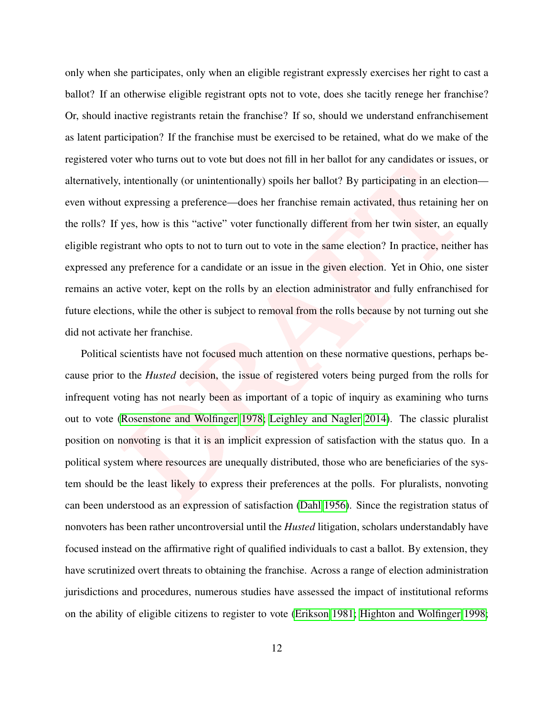interiorally (or unintentionally) spoils her ballot? By participating in an electic expressing a preference—does her franchise remain activated, thus retaining h yes, how is this "active" voter functionally different from only when she participates, only when an eligible registrant expressly exercises her right to cast a ballot? If an otherwise eligible registrant opts not to vote, does she tacitly renege her franchise? Or, should inactive registrants retain the franchise? If so, should we understand enfranchisement as latent participation? If the franchise must be exercised to be retained, what do we make of the registered voter who turns out to vote but does not fill in her ballot for any candidates or issues, or alternatively, intentionally (or unintentionally) spoils her ballot? By participating in an election even without expressing a preference—does her franchise remain activated, thus retaining her on the rolls? If yes, how is this "active" voter functionally different from her twin sister, an equally eligible registrant who opts to not to turn out to vote in the same election? In practice, neither has expressed any preference for a candidate or an issue in the given election. Yet in Ohio, one sister remains an active voter, kept on the rolls by an election administrator and fully enfranchised for future elections, while the other is subject to removal from the rolls because by not turning out she did not activate her franchise.

Political scientists have not focused much attention on these normative questions, perhaps because prior to the *Husted* decision, the issue of registered voters being purged from the rolls for infrequent voting has not nearly been as important of a topic of inquiry as examining who turns out to vote (Rosenstone and Wolfinger 1978; Leighley and Nagler 2014). The classic pluralist position on nonvoting is that it is an implicit expression of satisfaction with the status quo. In a political system where resources are unequally distributed, those who are beneficiaries of the system should be the least likely to express their preferences at the polls. For pluralists, nonvoting can been understood as an expression of satisfaction [\(Dahl 1956\)](#page-31-5). Since the registration status of nonvoters has been rather uncontroversial until the *Husted* litigation, scholars understandably have focused instead on the affirmative right of qualified individuals to cast a ballot. By extension, they have scrutinized overt threats to obtaining the franchise. Across a range of election administration jurisdictions and procedures, numerous studies have assessed the impact of institutional reforms on the ability of eligible citizens to register to vote [\(Erikson 1981;](#page-31-6) [Highton and Wolfinger 1998;](#page-32-9)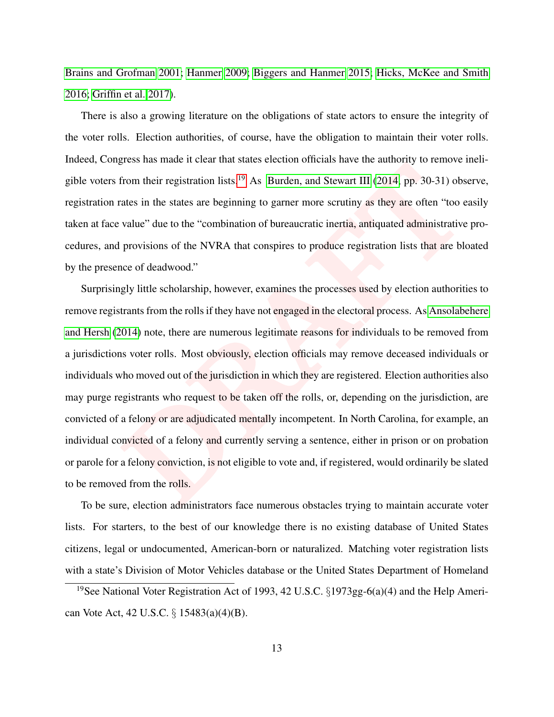[Brains and Grofman 2001;](#page-31-7) [Hanmer 2009;](#page-31-8) [Biggers and Hanmer 2015;](#page-31-9) [Hicks, McKee and Smith](#page-32-10) [2016;](#page-32-10) [Griffin et al. 2017\)](#page-31-10).

There is also a growing literature on the obligations of state actors to ensure the integrity of the voter rolls. Election authorities, of course, have the obligation to maintain their voter rolls. Indeed, Congress has made it clear that states election officials have the authority to remove ineligible voters from their registration lists.<sup>19</sup> As Burden, and Stewart III (2014, pp. 30-31) observe, registration rates in the states are beginning to garner more scrutiny as they are often "too easily taken at face value" due to the "combination of bureaucratic inertia, antiquated administrative procedures, and provisions of the NVRA that conspires to produce registration lists that are bloated by the presence of deadwood."

**Example 10** and the tend that state selection of the and Stewart III (2014, pp. 30-31) obstates in the states are beginning to garner more scrutiny as they are often "too e value" due to the "combination of bureaucratic i Surprisingly little scholarship, however, examines the processes used by election authorities to remove registrants from the rolls if they have not engaged in the electoral process. As [Ansolabehere](#page-31-4) [and Hersh](#page-31-4) [\(2014\)](#page-31-4) note, there are numerous legitimate reasons for individuals to be removed from a jurisdictions voter rolls. Most obviously, election officials may remove deceased individuals or individuals who moved out of the jurisdiction in which they are registered. Election authorities also may purge registrants who request to be taken off the rolls, or, depending on the jurisdiction, are convicted of a felony or are adjudicated mentally incompetent. In North Carolina, for example, an individual convicted of a felony and currently serving a sentence, either in prison or on probation or parole for a felony conviction, is not eligible to vote and, if registered, would ordinarily be slated to be removed from the rolls.

To be sure, election administrators face numerous obstacles trying to maintain accurate voter lists. For starters, to the best of our knowledge there is no existing database of United States citizens, legal or undocumented, American-born or naturalized. Matching voter registration lists with a state's Division of Motor Vehicles database or the United States Department of Homeland

<sup>&</sup>lt;sup>19</sup>See National Voter Registration Act of 1993, 42 U.S.C.  $\S 1973gg-6(a)(4)$  and the Help American Vote Act, 42 U.S.C. § 15483(a)(4)(B).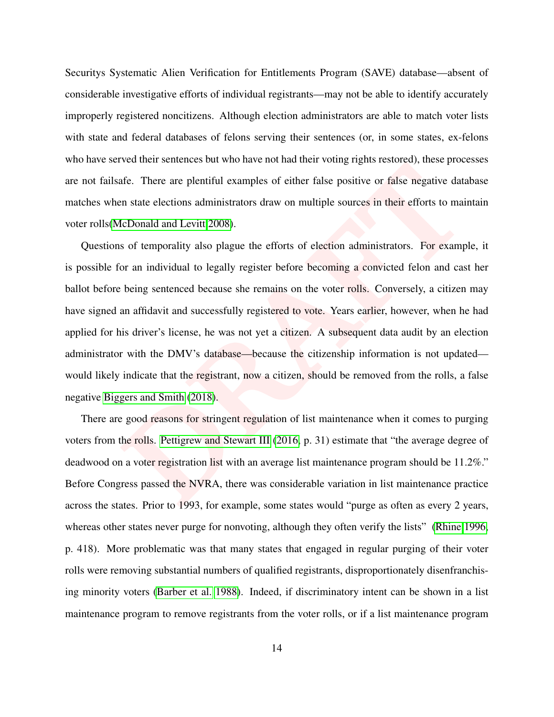Securitys Systematic Alien Verification for Entitlements Program (SAVE) database—absent of considerable investigative efforts of individual registrants—may not be able to identify accurately improperly registered noncitizens. Although election administrators are able to match voter lists with state and federal databases of felons serving their sentences (or, in some states, ex-felons who have served their sentences but who have not had their voting rights restored), these processes are not failsafe. There are plentiful examples of either false positive or false negative database matches when state elections administrators draw on multiple sources in their efforts to maintain voter rolls[\(McDonald and Levitt](#page-32-11) 2008).

Fracture and statistics of the moment of the transmitted technical statistics), those precifie.<br>There are plentiful examples of either false positive or false negative data<br>an state elections administrators draw on multipl Questions of temporality also plague the efforts of election administrators. For example, it is possible for an individual to legally register before becoming a convicted felon and cast her ballot before being sentenced because she remains on the voter rolls. Conversely, a citizen may have signed an affidavit and successfully registered to vote. Years earlier, however, when he had applied for his driver's license, he was not yet a citizen. A subsequent data audit by an election administrator with the DMV's database—because the citizenship information is not updated would likely indicate that the registrant, now a citizen, should be removed from the rolls, a false negative [Biggers and Smith](#page-31-12) (2018).

There are good reasons for stringent regulation of list maintenance when it comes to purging voters from the rolls. Pettigrew and Stewart III (2016, p. 31) estimate that "the average degree of deadwood on a voter registration list with an average list maintenance program should be 11.2%." Before Congress passed the NVRA, there was considerable variation in list maintenance practice across the states. Prior to 1993, for example, some states would "purge as often as every 2 years, whereas other states never purge for nonvoting, although they often verify the lists" [\(Rhine 1996,](#page-32-13) p. 418). More problematic was that many states that engaged in regular purging of their voter rolls were removing substantial numbers of qualified registrants, disproportionately disenfranchising minority voters [\(Barber et al. 1988\)](#page-31-13). Indeed, if discriminatory intent can be shown in a list maintenance program to remove registrants from the voter rolls, or if a list maintenance program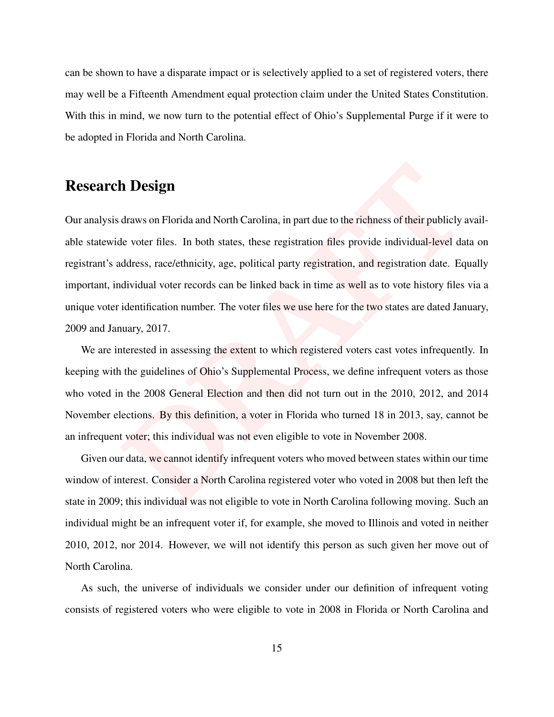can be shown to have a disparate impact or is selectively applied to a set of registered voters, there may well be a Fifteenth Amendment equal protection claim under the United States Constitution. With this in mind, we now turn to the potential effect of Ohio's Supplemental Purge if it were to be adopted in Florida and North Carolina.

# Research Design

**h Design**<br>draws on Florida and North Carolina, in part due to the richness of their publicly a<br>le voter files. In both states, these registration files provide individual-level da<br>ddress, race/ethnicity, age, political pa Our analysis draws on Florida and North Carolina, in part due to the richness of their publicly available statewide voter files. In both states, these registration files provide individual-level data on registrant's address, race/ethnicity, age, political party registration, and registration date. Equally important, individual voter records can be linked back in time as well as to vote history files via a unique voter identification number. The voter files we use here for the two states are dated January, 2009 and January, 2017.

We are interested in assessing the extent to which registered voters cast votes infrequently. In keeping with the guidelines of Ohio's Supplemental Process, we define infrequent voters as those who voted in the 2008 General Election and then did not turn out in the 2010, 2012, and 2014 November elections. By this definition, a voter in Florida who turned 18 in 2013, say, cannot be an infrequent voter; this individual was not even eligible to vote in November 2008.

Given our data, we cannot identify infrequent voters who moved between states within our time window of interest. Consider a North Carolina registered voter who voted in 2008 but then left the state in 2009; this individual was not eligible to vote in North Carolina following moving. Such an individual might be an infrequent voter if, for example, she moved to Illinois and voted in neither 2010, 2012, nor 2014. However, we will not identify this person as such given her move out of North Carolina.

As such, the universe of individuals we consider under our definition of infrequent voting consists of registered voters who were eligible to vote in 2008 in Florida or North Carolina and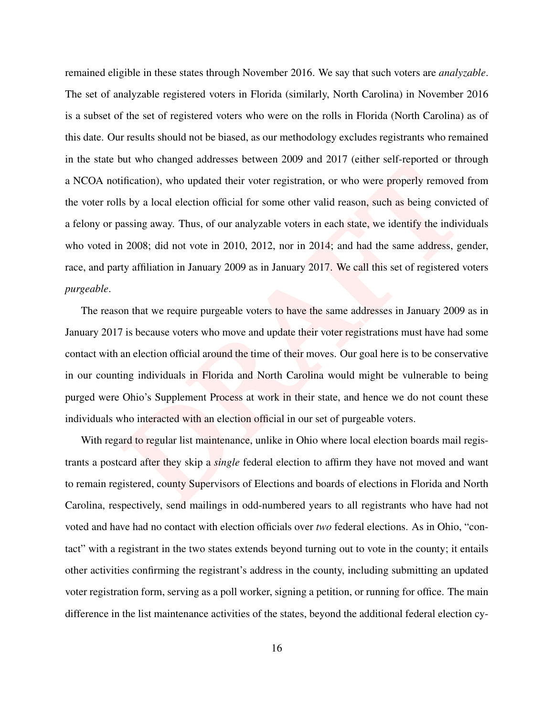and who entargled data tasks extended 1605<sup>9</sup> data 161<sup>5</sup> (chilate solit repleted of the infication), who updated their voter registration, or who were properly removed is by a local election official for some other valid remained eligible in these states through November 2016. We say that such voters are *analyzable*. The set of analyzable registered voters in Florida (similarly, North Carolina) in November 2016 is a subset of the set of registered voters who were on the rolls in Florida (North Carolina) as of this date. Our results should not be biased, as our methodology excludes registrants who remained in the state but who changed addresses between 2009 and 2017 (either self-reported or through a NCOA notification), who updated their voter registration, or who were properly removed from the voter rolls by a local election official for some other valid reason, such as being convicted of a felony or passing away. Thus, of our analyzable voters in each state, we identify the individuals who voted in 2008; did not vote in 2010, 2012, nor in 2014; and had the same address, gender, race, and party affiliation in January 2009 as in January 2017. We call this set of registered voters *purgeable*.

The reason that we require purgeable voters to have the same addresses in January 2009 as in January 2017 is because voters who move and update their voter registrations must have had some contact with an election official around the time of their moves. Our goal here is to be conservative in our counting individuals in Florida and North Carolina would might be vulnerable to being purged were Ohio's Supplement Process at work in their state, and hence we do not count these individuals who interacted with an election official in our set of purgeable voters.

With regard to regular list maintenance, unlike in Ohio where local election boards mail registrants a postcard after they skip a *single* federal election to affirm they have not moved and want to remain registered, county Supervisors of Elections and boards of elections in Florida and North Carolina, respectively, send mailings in odd-numbered years to all registrants who have had not voted and have had no contact with election officials over *two* federal elections. As in Ohio, "contact" with a registrant in the two states extends beyond turning out to vote in the county; it entails other activities confirming the registrant's address in the county, including submitting an updated voter registration form, serving as a poll worker, signing a petition, or running for office. The main difference in the list maintenance activities of the states, beyond the additional federal election cy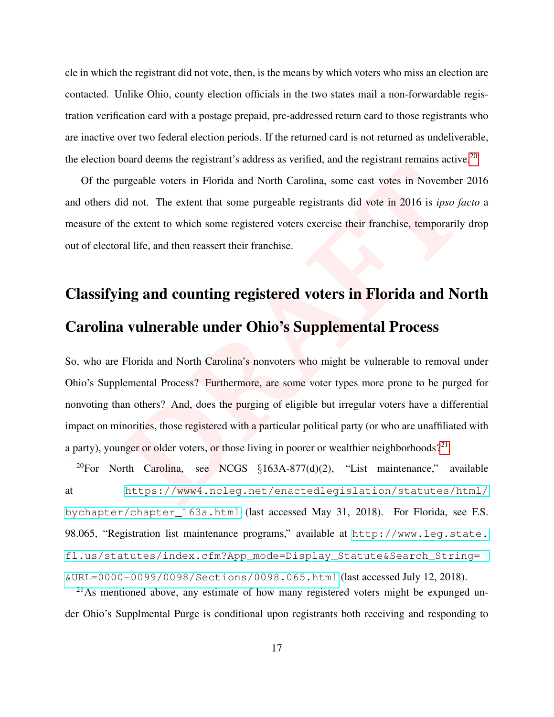cle in which the registrant did not vote, then, is the means by which voters who miss an election are contacted. Unlike Ohio, county election officials in the two states mail a non-forwardable registration verification card with a postage prepaid, pre-addressed return card to those registrants who are inactive over two federal election periods. If the returned card is not returned as undeliverable, the election board deems the registrant's address as verified, and the registrant remains active.<sup>[20](#page-0-0)</sup>

Of the purgeable voters in Florida and North Carolina, some cast votes in November 2016 and others did not. The extent that some purgeable registrants did vote in 2016 is *ipso facto* a measure of the extent to which some registered voters exercise their franchise, temporarily drop out of electoral life, and then reassert their franchise.

# Classifying and counting registered voters in Florida and North Carolina vulnerable under Ohio's Supplemental Process

beard details and Exploration didentical and North Carolina, some cast votes in November<br>
id not. The extent that some purgeable registrants did vote in 2016 is *ipso fa*<br>
the extent to which some registered voters exercis So, who are Florida and North Carolina's nonvoters who might be vulnerable to removal under Ohio's Supplemental Process? Furthermore, are some voter types more prone to be purged for nonvoting than others? And, does the purging of eligible but irregular voters have a differential impact on minorities, those registered with a particular political party (or who are unaffiliated with a party), younger or older voters, or those living in poorer or wealthier neighborhoods?<sup>21</sup>

<sup>20</sup>For North Carolina, see NCGS  $\S163A-877(d)(2)$ , "List maintenance," available at [https://www4.ncleg.net/enactedlegislation/statutes/html/](https://www4.ncleg.net/enactedlegislation/statutes/html/bychapter/chapter_163a.html) [bychapter/chapter\\_163a.html](https://www4.ncleg.net/enactedlegislation/statutes/html/bychapter/chapter_163a.html) (last accessed May 31, 2018). For Florida, see F.S. 98.065, "Registration list maintenance programs," available at [http://www.leg.state.](http://www.leg.state.fl.us/statutes/index.cfm?App_mode=Display_Statute&Search_String=&URL=0000-0099/0098/Sections/0098.065.html) [fl.us/statutes/index.cfm?App\\_mode=Display\\_Statute&Search\\_String=](http://www.leg.state.fl.us/statutes/index.cfm?App_mode=Display_Statute&Search_String=&URL=0000-0099/0098/Sections/0098.065.html) [&URL=0000-0099/0098/Sections/0098.065.html](http://www.leg.state.fl.us/statutes/index.cfm?App_mode=Display_Statute&Search_String=&URL=0000-0099/0098/Sections/0098.065.html) (last accessed July 12, 2018).

 $^{21}$ As mentioned above, any estimate of how many registered voters might be expunged under Ohio's Supplmental Purge is conditional upon registrants both receiving and responding to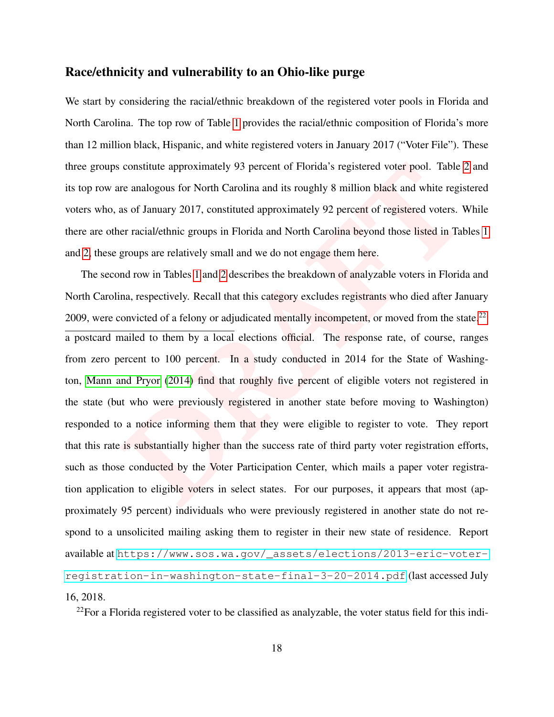## Race/ethnicity and vulnerability to an Ohio-like purge

We start by considering the racial/ethnic breakdown of the registered voter pools in Florida and North Carolina. The top row of Table [1](#page-20-0) provides the racial/ethnic composition of Florida's more than 12 million black, Hispanic, and white registered voters in January 2017 ("Voter File"). These three groups constitute approximately 93 percent of Florida's registered voter pool. Table [2](#page-20-1) and its top row are analogous for North Carolina and its roughly 8 million black and white registered voters who, as of January 2017, constituted approximately 92 percent of registered voters. While there are other racial/ethnic groups in Florida and North Carolina beyond those listed in Tables [1](#page-20-0) and [2,](#page-20-1) these groups are relatively small and we do not engage them here.

constitute approximately 93 percent of Florida's registered voter pool. Table 2<br>
re analogous for North Carolina and its roughly 8 million black and white regis<br>
as of January 2017, constituted approximately 92 percent of The second row in Tables 1 and 2 describes the breakdown of analyzable voters in Florida and North Carolina, respectively. Recall that this category excludes registrants who died after January 2009, were convicted of a felony or adjudicated mentally incompetent, or moved from the state.<sup>[22](#page-0-0)</sup> a postcard mailed to them by a local elections official. The response rate, of course, ranges from zero percent to 100 percent. In a study conducted in 2014 for the State of Washington, [Mann and Pryor](#page-32-14) (2014) find that roughly five percent of eligible voters not registered in the state (but who were previously registered in another state before moving to Washington) responded to a notice informing them that they were eligible to register to vote. They report that this rate is substantially higher than the success rate of third party voter registration efforts, such as those conducted by the Voter Participation Center, which mails a paper voter registration application to eligible voters in select states. For our purposes, it appears that most (approximately 95 percent) individuals who were previously registered in another state do not respond to a unsolicited mailing asking them to register in their new state of residence. Report available at [https://www.sos.wa.gov/\\_assets/elections/2013-eric-voter](https://www.sos.wa.gov/_assets/elections/2013-eric-voter-registration-in-washington-state-final-3-20-2014.pdf)[registration-in-washington-state-final-3-20-2014.pdf](https://www.sos.wa.gov/_assets/elections/2013-eric-voter-registration-in-washington-state-final-3-20-2014.pdf) (last accessed July 16, 2018.

 $22$ For a Florida registered voter to be classified as analyzable, the voter status field for this indi-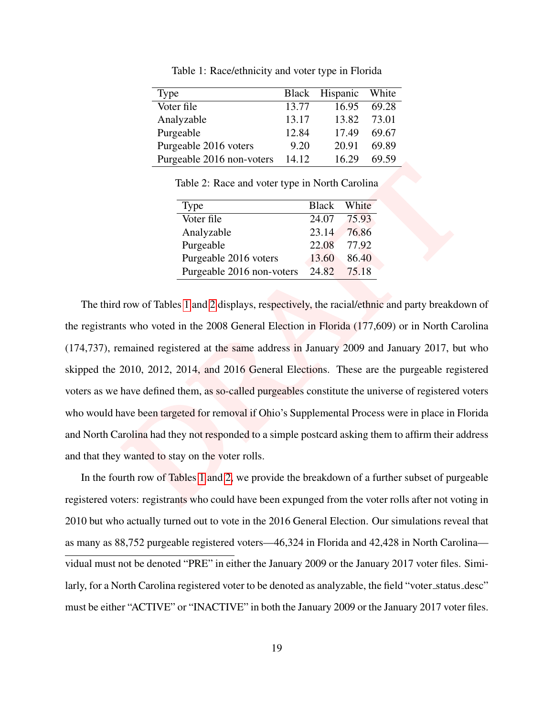<span id="page-20-0"></span>

| Type                      |       | Black Hispanic | White |
|---------------------------|-------|----------------|-------|
| Voter file                | 13.77 | 16.95          | 69.28 |
| Analyzable                | 13.17 | 13.82          | 73.01 |
| Purgeable                 | 12.84 | 17.49          | 69.67 |
| Purgeable 2016 voters     | 9.20  | 20.91          | 69.89 |
| Purgeable 2016 non-voters | 14.12 | 16.29          | 69.59 |

Table 1: Race/ethnicity and voter type in Florida

Table 2: Race and voter type in North Carolina

| Type                      | <b>Black</b> | White |
|---------------------------|--------------|-------|
| Voter file                | 24.07        | 75.93 |
| Analyzable                | 23.14        | 76.86 |
| Purgeable                 | 22.08        | 77.92 |
| Purgeable 2016 voters     | 13.60        | 86.40 |
| Purgeable 2016 non-voters | 24.82        | 75.18 |

<span id="page-20-1"></span>Table 2: Race and voter type in North Carolina<br>
Type<br> [D](#page-20-0)lack White<br>
Voter file<br>
2.107 75.93<br>
Analyzable<br>
Purgeable 22.08 77.92<br>
Purgeable 2016 voters 13.60 86.40<br>
Purgeable 2016 voters 13.60 86.40<br>
Purgeable 2016 non-voters The third row of Tables 1 and 2 displays, respectively, the racial/ethnic and party breakdown of the registrants who voted in the 2008 General Election in Florida (177,609) or in North Carolina (174,737), remained registered at the same address in January 2009 and January 2017, but who skipped the 2010, 2012, 2014, and 2016 General Elections. These are the purgeable registered voters as we have defined them, as so-called purgeables constitute the universe of registered voters who would have been targeted for removal if Ohio's Supplemental Process were in place in Florida and North Carolina had they not responded to a simple postcard asking them to affirm their address and that they wanted to stay on the voter rolls.

In the fourth row of Tables 1 and 2, we provide the breakdown of a further subset of purgeable registered voters: registrants who could have been expunged from the voter rolls after not voting in 2010 but who actually turned out to vote in the 2016 General Election. Our simulations reveal that as many as 88,752 purgeable registered voters—46,324 in Florida and 42,428 in North Carolina vidual must not be denoted "PRE" in either the January 2009 or the January 2017 voter files. Similarly, for a North Carolina registered voter to be denoted as analyzable, the field "voter\_status\_desc" must be either "ACTIVE" or "INACTIVE" in both the January 2009 or the January 2017 voter files.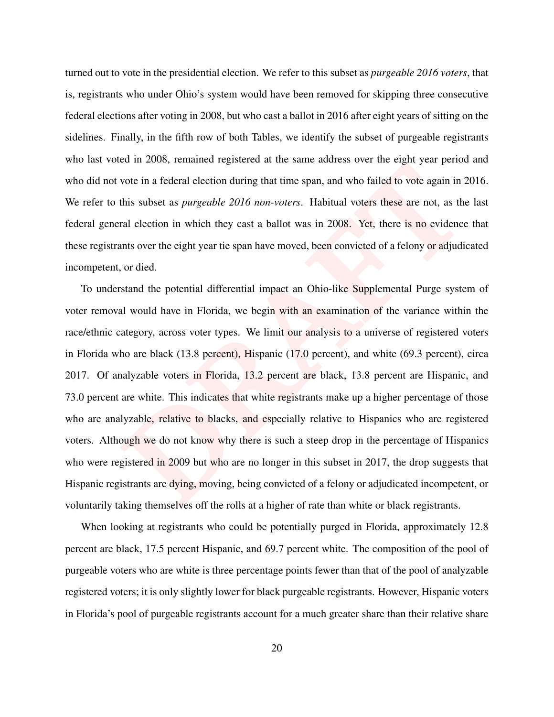turned out to vote in the presidential election. We refer to this subset as *purgeable 2016 voters*, that is, registrants who under Ohio's system would have been removed for skipping three consecutive federal elections after voting in 2008, but who cast a ballot in 2016 after eight years of sitting on the sidelines. Finally, in the fifth row of both Tables, we identify the subset of purgeable registrants who last voted in 2008, remained registered at the same address over the eight year period and who did not vote in a federal election during that time span, and who failed to vote again in 2016. We refer to this subset as *purgeable 2016 non-voters*. Habitual voters these are not, as the last federal general election in which they cast a ballot was in 2008. Yet, there is no evidence that these registrants over the eight year tie span have moved, been convicted of a felony or adjudicated incompetent, or died.

Figure 11 External election during that time span, and who failed to vote and factors in a federal election during that time span, and who failed to vote again in 2 this subset as *purgeable 2016 non-voters*. Habitual vote To understand the potential differential impact an Ohio-like Supplemental Purge system of voter removal would have in Florida, we begin with an examination of the variance within the race/ethnic category, across voter types. We limit our analysis to a universe of registered voters in Florida who are black (13.8 percent), Hispanic (17.0 percent), and white (69.3 percent), circa 2017. Of analyzable voters in Florida, 13.2 percent are black, 13.8 percent are Hispanic, and 73.0 percent are white. This indicates that white registrants make up a higher percentage of those who are analyzable, relative to blacks, and especially relative to Hispanics who are registered voters. Although we do not know why there is such a steep drop in the percentage of Hispanics who were registered in 2009 but who are no longer in this subset in 2017, the drop suggests that Hispanic registrants are dying, moving, being convicted of a felony or adjudicated incompetent, or voluntarily taking themselves off the rolls at a higher of rate than white or black registrants.

When looking at registrants who could be potentially purged in Florida, approximately 12.8 percent are black, 17.5 percent Hispanic, and 69.7 percent white. The composition of the pool of purgeable voters who are white is three percentage points fewer than that of the pool of analyzable registered voters; it is only slightly lower for black purgeable registrants. However, Hispanic voters in Florida's pool of purgeable registrants account for a much greater share than their relative share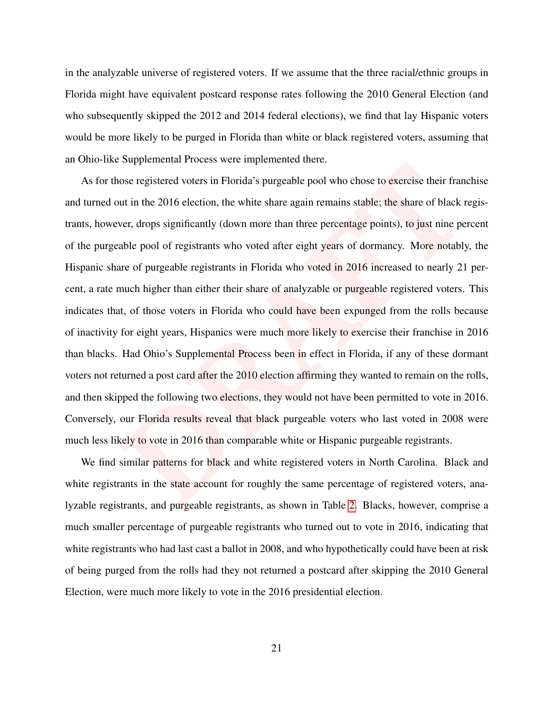in the analyzable universe of registered voters. If we assume that the three racial/ethnic groups in Florida might have equivalent postcard response rates following the 2010 General Election (and who subsequently skipped the 2012 and 2014 federal elections), we find that lay Hispanic voters would be more likely to be purged in Florida than white or black registered voters, assuming that an Ohio-like Supplemental Process were implemented there.

solution and the 2016 than the magnetic method of the state and the state and the state again remains stable; the share of black r are to the pool of registranty (down more than three percentage points), to just nine perce As for those registered voters in Florida's purgeable pool who chose to exercise their franchise and turned out in the 2016 election, the white share again remains stable; the share of black registrants, however, drops significantly (down more than three percentage points), to just nine percent of the purgeable pool of registrants who voted after eight years of dormancy. More notably, the Hispanic share of purgeable registrants in Florida who voted in 2016 increased to nearly 21 percent, a rate much higher than either their share of analyzable or purgeable registered voters. This indicates that, of those voters in Florida who could have been expunged from the rolls because of inactivity for eight years, Hispanics were much more likely to exercise their franchise in 2016 than blacks. Had Ohio's Supplemental Process been in effect in Florida, if any of these dormant voters not returned a post card after the 2010 election affirming they wanted to remain on the rolls, and then skipped the following two elections, they would not have been permitted to vote in 2016. Conversely, our Florida results reveal that black purgeable voters who last voted in 2008 were much less likely to vote in 2016 than comparable white or Hispanic purgeable registrants.

We find similar patterns for black and white registered voters in North Carolina. Black and white registrants in the state account for roughly the same percentage of registered voters, analyzable registrants, and purgeable registrants, as shown in Table [2.](#page-20-1) Blacks, however, comprise a much smaller percentage of purgeable registrants who turned out to vote in 2016, indicating that white registrants who had last cast a ballot in 2008, and who hypothetically could have been at risk of being purged from the rolls had they not returned a postcard after skipping the 2010 General Election, were much more likely to vote in the 2016 presidential election.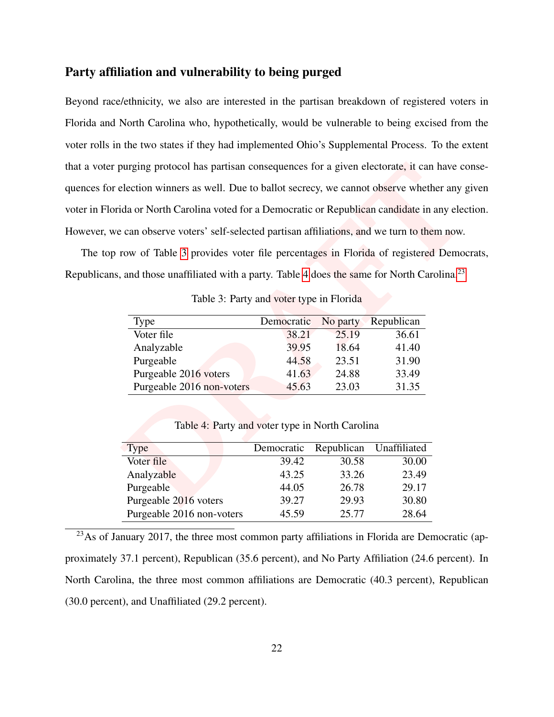## Party affiliation and vulnerability to being purged

ourging protocol has partisan consequences for a given electorate, it can have celection winners as well. Due to ballot secrecy, we cannot observe whether any giantified and or North Carolina voted for a Democratic or Repu Beyond race/ethnicity, we also are interested in the partisan breakdown of registered voters in Florida and North Carolina who, hypothetically, would be vulnerable to being excised from the voter rolls in the two states if they had implemented Ohio's Supplemental Process. To the extent that a voter purging protocol has partisan consequences for a given electorate, it can have consequences for election winners as well. Due to ballot secrecy, we cannot observe whether any given voter in Florida or North Carolina voted for a Democratic or Republican candidate in any election. However, we can observe voters' self-selected partisan affiliations, and we turn to them now.

<span id="page-23-0"></span>The top row of Table 3 provides voter file percentages in Florida of registered Democrats, Republicans, and those unaffiliated with a party. Table 4 does the same for North Carolina.<sup>23</sup>

Table 3: Party and voter type in Florida

| Type                      | Democratic | No party | Republican |
|---------------------------|------------|----------|------------|
| Voter file                | 38.21      | 25.19    | 36.61      |
| Analyzable                | 39.95      | 18.64    | 41.40      |
| Purgeable                 | 44.58      | 23.51    | 31.90      |
| Purgeable 2016 voters     | 41.63      | 24.88    | 33.49      |
| Purgeable 2016 non-voters | 45.63      | 23.03    | 31.35      |

Table 4: Party and voter type in North Carolina

<span id="page-23-1"></span>

| <b>Type</b>               | Democratic | Republican | Unaffiliated |
|---------------------------|------------|------------|--------------|
| Voter file                | 39.42      | 30.58      | 30.00        |
| Analyzable                | 43.25      | 33.26      | 23.49        |
| Purgeable                 | 44.05      | 26.78      | 29.17        |
| Purgeable 2016 voters     | 39.27      | 29.93      | 30.80        |
| Purgeable 2016 non-voters | 45.59      | 25.77      | 28.64        |

 $23$ As of January 2017, the three most common party affiliations in Florida are Democratic (approximately 37.1 percent), Republican (35.6 percent), and No Party Affiliation (24.6 percent). In North Carolina, the three most common affiliations are Democratic (40.3 percent), Republican (30.0 percent), and Unaffiliated (29.2 percent).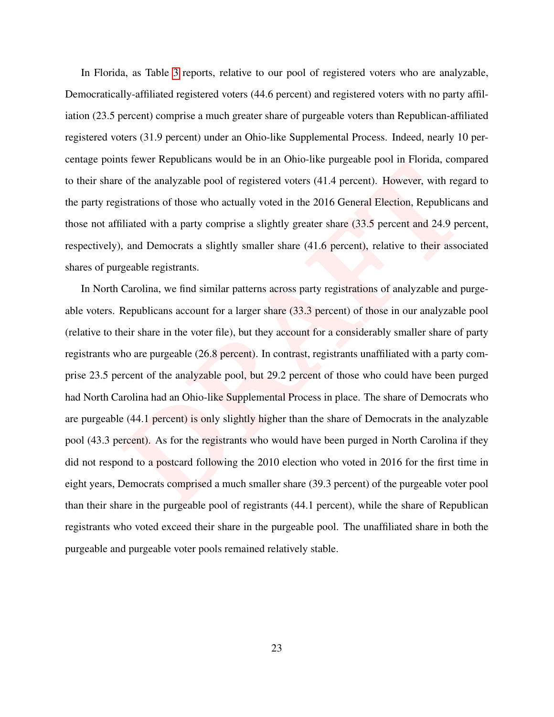In Florida, as Table [3](#page-23-0) reports, relative to our pool of registered voters who are analyzable, Democratically-affiliated registered voters (44.6 percent) and registered voters with no party affiliation (23.5 percent) comprise a much greater share of purgeable voters than Republican-affiliated registered voters (31.9 percent) under an Ohio-like Supplemental Process. Indeed, nearly 10 percentage points fewer Republicans would be in an Ohio-like purgeable pool in Florida, compared to their share of the analyzable pool of registered voters (41.4 percent). However, with regard to the party registrations of those who actually voted in the 2016 General Election, Republicans and those not affiliated with a party comprise a slightly greater share (33.5 percent and 24.9 percent, respectively), and Democrats a slightly smaller share (41.6 percent), relative to their associated shares of purgeable registrants.

or the many about the many back of the many back of the many particular some and be many and be many back to the many about the gainstrations of those who actually voted in the 2016 General Election, Republicant lilated wi In North Carolina, we find similar patterns across party registrations of analyzable and purgeable voters. Republicans account for a larger share (33.3 percent) of those in our analyzable pool (relative to their share in the voter file), but they account for a considerably smaller share of party registrants who are purgeable (26.8 percent). In contrast, registrants unaffiliated with a party comprise 23.5 percent of the analyzable pool, but 29.2 percent of those who could have been purged had North Carolina had an Ohio-like Supplemental Process in place. The share of Democrats who are purgeable (44.1 percent) is only slightly higher than the share of Democrats in the analyzable pool (43.3 percent). As for the registrants who would have been purged in North Carolina if they did not respond to a postcard following the 2010 election who voted in 2016 for the first time in eight years, Democrats comprised a much smaller share (39.3 percent) of the purgeable voter pool than their share in the purgeable pool of registrants (44.1 percent), while the share of Republican registrants who voted exceed their share in the purgeable pool. The unaffiliated share in both the purgeable and purgeable voter pools remained relatively stable.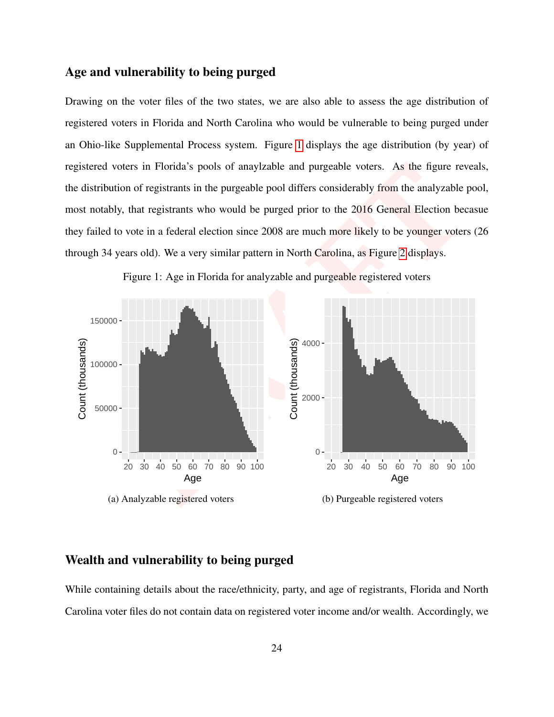### Age and vulnerability to being purged

Drawing on the voter files of the two states, we are also able to assess the age distribution of registered voters in Florida and North Carolina who would be vulnerable to being purged under an Ohio-like Supplemental Process system. Figure [1](#page-25-0) displays the age distribution (by year) of registered voters in Florida's pools of anaylzable and purgeable voters. As the figure reveals, the distribution of registrants in the purgeable pool differs considerably from the analyzable pool, most notably, that registrants who would be purged prior to the 2016 General Election becasue they failed to vote in a federal election since 2008 are much more likely to be younger voters (26 through 34 years old). We a very similar pattern in North Carolina, as Figure 2 displays.



<span id="page-25-0"></span>Figure 1: Age in Florida for analyzable and purgeable registered voters

## Wealth and vulnerability to being purged

While containing details about the race/ethnicity, party, and age of registrants, Florida and North Carolina voter files do not contain data on registered voter income and/or wealth. Accordingly, we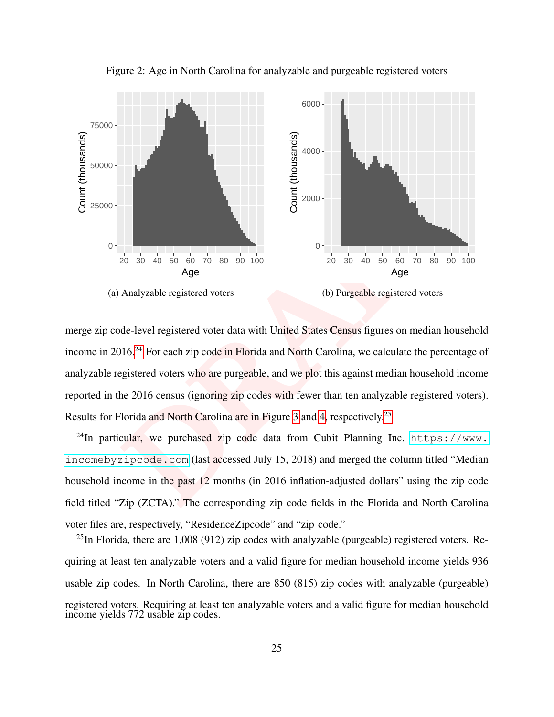<span id="page-26-0"></span>

Figure 2: Age in North Carolina for analyzable and purgeable registered voters

merge zip code-level registered voter data with United States Census figures on median household income in 2016.<sup>24</sup> For each zip code in Florida and North Carolina, we calculate the percentage of analyzable registered voters who are purgeable, and we plot this against median household income reported in the 2016 census (ignoring zip codes with fewer than ten analyzable registered voters). Results for Florida and North Carolina are in Figure 3 and 4, respectively.<sup>25</sup>

<sup>24</sup>In particular, we purchased zip code data from Cubit Planning Inc. [https://www.](https://www.incomebyzipcode.com) [incomebyzipcode.com](https://www.incomebyzipcode.com) (last accessed July 15, 2018) and merged the column titled "Median household income in the past 12 months (in 2016 inflation-adjusted dollars" using the zip code field titled "Zip (ZCTA)." The corresponding zip code fields in the Florida and North Carolina voter files are, respectively, "ResidenceZipcode" and "zip\_code."

 $^{25}$ In Florida, there are 1,008 (912) zip codes with analyzable (purgeable) registered voters. Requiring at least ten analyzable voters and a valid figure for median household income yields 936 usable zip codes. In North Carolina, there are 850 (815) zip codes with analyzable (purgeable) registered voters. Requiring at least ten analyzable voters and a valid figure for median household income yields 772 usable zip codes.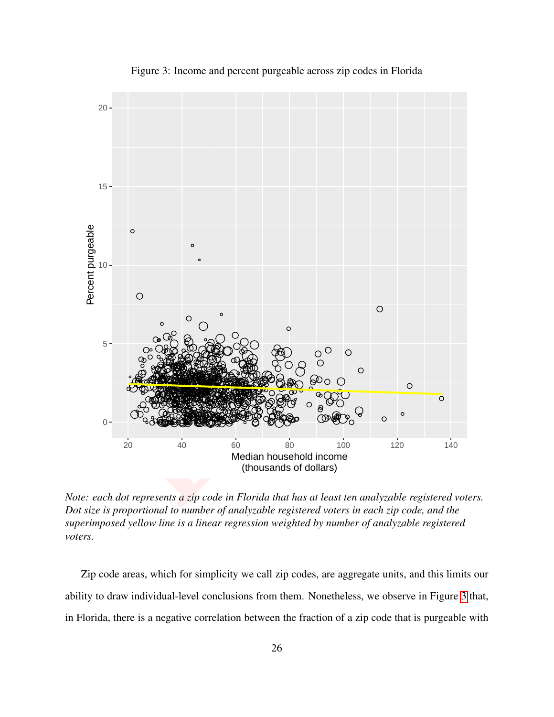<span id="page-27-0"></span>

Figure 3: Income and percent purgeable across zip codes in Florida

*Note: each dot represents a zip code in Florida that has at least ten analyzable registered voters. Dot size is proportional to number of analyzable registered voters in each zip code, and the superimposed yellow line is a linear regression weighted by number of analyzable registered voters.*

Zip code areas, which for simplicity we call zip codes, are aggregate units, and this limits our ability to draw individual-level conclusions from them. Nonetheless, we observe in Figure [3](#page-27-0) that, in Florida, there is a negative correlation between the fraction of a zip code that is purgeable with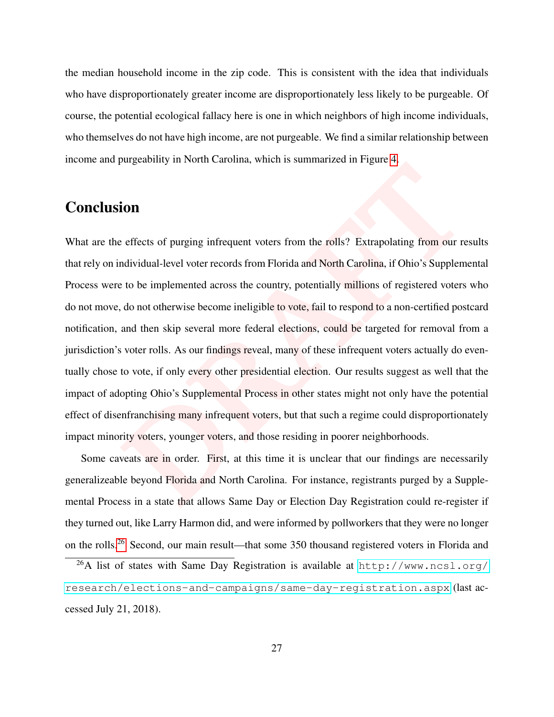the median household income in the zip code. This is consistent with the idea that individuals who have disproportionately greater income are disproportionately less likely to be purgeable. Of course, the potential ecological fallacy here is one in which neighbors of high income individuals, who themselves do not have high income, are not purgeable. We find a similar relationship between income and purgeability in North Carolina, which is summarized in Figure [4.](#page-29-0)

# **Conclusion**

**Examplemental Solution** and North Carolina, Findinian and North Carolina interests of purging infrequent voters from the rolls? Extrapolating from our redividual-level voter records from Florida and North Carolina, if Ohi What are the effects of purging infrequent voters from the rolls? Extrapolating from our results that rely on individual-level voter records from Florida and North Carolina, if Ohio's Supplemental Process were to be implemented across the country, potentially millions of registered voters who do not move, do not otherwise become ineligible to vote, fail to respond to a non-certified postcard notification, and then skip several more federal elections, could be targeted for removal from a jurisdiction's voter rolls. As our findings reveal, many of these infrequent voters actually do eventually chose to vote, if only every other presidential election. Our results suggest as well that the impact of adopting Ohio's Supplemental Process in other states might not only have the potential effect of disenfranchising many infrequent voters, but that such a regime could disproportionately impact minority voters, younger voters, and those residing in poorer neighborhoods.

Some caveats are in order. First, at this time it is unclear that our findings are necessarily generalizeable beyond Florida and North Carolina. For instance, registrants purged by a Supplemental Process in a state that allows Same Day or Election Day Registration could re-register if they turned out, like Larry Harmon did, and were informed by pollworkers that they were no longer on the rolls.[26](#page-0-0) Second, our main result—that some 350 thousand registered voters in Florida and

<sup>26</sup>A list of states with Same Day Registration is available at [http://www.ncsl.org/](http://www.ncsl.org/research/elections-and-campaigns/same-day-registration.aspx) [research/elections-and-campaigns/same-day-registration.aspx](http://www.ncsl.org/research/elections-and-campaigns/same-day-registration.aspx) (last accessed July 21, 2018).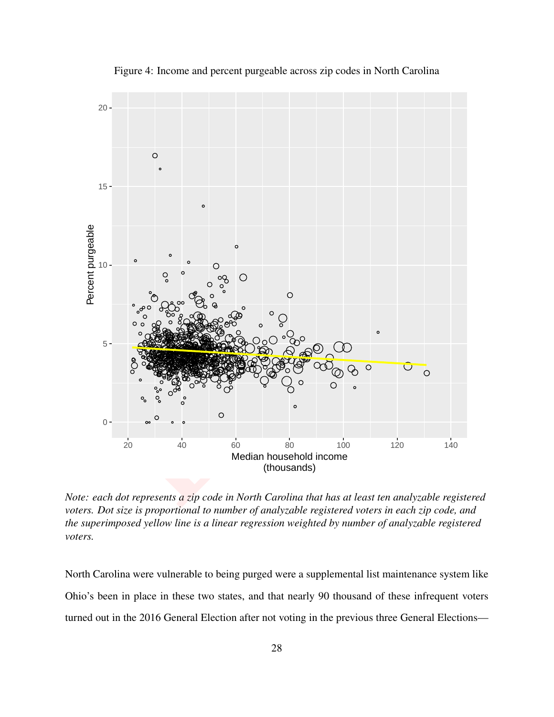<span id="page-29-0"></span>

Figure 4: Income and percent purgeable across zip codes in North Carolina

*Note: each dot represents a zip code in North Carolina that has at least ten analyzable registered voters. Dot size is proportional to number of analyzable registered voters in each zip code, and the superimposed yellow line is a linear regression weighted by number of analyzable registered voters.*

North Carolina were vulnerable to being purged were a supplemental list maintenance system like Ohio's been in place in these two states, and that nearly 90 thousand of these infrequent voters turned out in the 2016 General Election after not voting in the previous three General Elections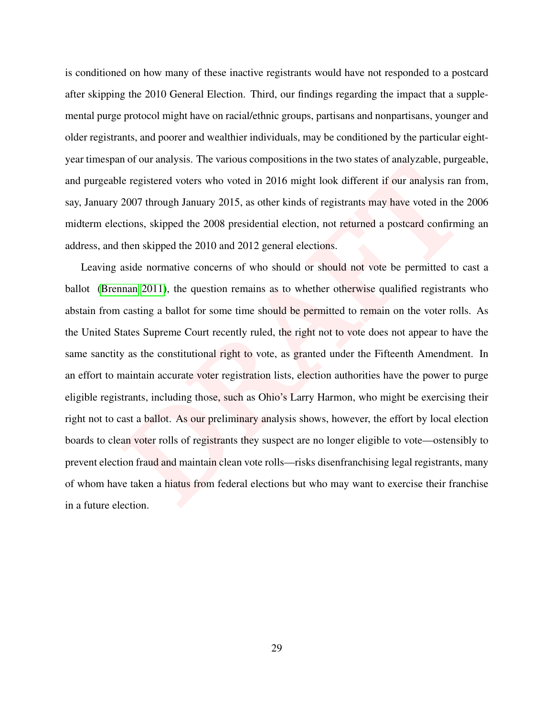is conditioned on how many of these inactive registrants would have not responded to a postcard after skipping the 2010 General Election. Third, our findings regarding the impact that a supplemental purge protocol might have on racial/ethnic groups, partisans and nonpartisans, younger and older registrants, and poorer and wealthier individuals, may be conditioned by the particular eightyear timespan of our analysis. The various compositions in the two states of analyzable, purgeable, and purgeable registered voters who voted in 2016 might look different if our analysis ran from, say, January 2007 through January 2015, as other kinds of registrants may have voted in the 2006 midterm elections, skipped the 2008 presidential election, not returned a postcard confirming an address, and then skipped the 2010 and 2012 general elections.

be registered voters who voted in 2016 might look different if our analysis ran 1<br>
2007 through January 2015, as other kinds of registrants may have voted in the<br>
2007 through January 2015, as other kinds of registrants ma Leaving aside normative concerns of who should or should not vote be permitted to cast a ballot [\(Brennan](#page-31-2) 2011), the question remains as to whether otherwise qualified registrants who abstain from casting a ballot for some time should be permitted to remain on the voter rolls. As the United States Supreme Court recently ruled, the right not to vote does not appear to have the same sanctity as the constitutional right to vote, as granted under the Fifteenth Amendment. In an effort to maintain accurate voter registration lists, election authorities have the power to purge eligible registrants, including those, such as Ohio's Larry Harmon, who might be exercising their right not to cast a ballot. As our preliminary analysis shows, however, the effort by local election boards to clean voter rolls of registrants they suspect are no longer eligible to vote—ostensibly to prevent election fraud and maintain clean vote rolls—risks disenfranchising legal registrants, many of whom have taken a hiatus from federal elections but who may want to exercise their franchise in a future election.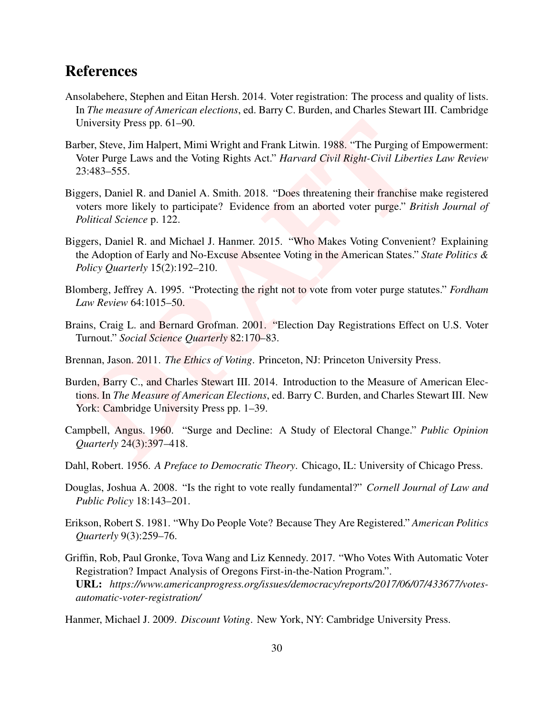# References

- <span id="page-31-4"></span>Ansolabehere, Stephen and Eitan Hersh. 2014. Voter registration: The process and quality of lists. In *The measure of American elections*, ed. Barry C. Burden, and Charles Stewart III. Cambridge University Press pp. 61–90.
- <span id="page-31-13"></span>University Press pp. 61–90.<br>
ther, Steve, Jim Halpert, Mimi Wright and Frank Litwin. 1988. "The Purging of Yoter Purge Laws and the Voting Rights Act." *Harvard Civil Right-Civil Liberti*<br>
23:483–555.<br>
ggers, Daniel R. and Barber, Steve, Jim Halpert, Mimi Wright and Frank Litwin. 1988. "The Purging of Empowerment: Voter Purge Laws and the Voting Rights Act." *Harvard Civil Right-Civil Liberties Law Review* 23:483–555.
- <span id="page-31-12"></span>Biggers, Daniel R. and Daniel A. Smith. 2018. "Does threatening their franchise make registered voters more likely to participate? Evidence from an aborted voter purge." *British Journal of Political Science* p. 122.
- <span id="page-31-9"></span>Biggers, Daniel R. and Michael J. Hanmer. 2015. "Who Makes Voting Convenient? Explaining the Adoption of Early and No-Excuse Absentee Voting in the American States." *State Politics & Policy Quarterly* 15(2):192–210.
- <span id="page-31-1"></span>Blomberg, Jeffrey A. 1995. "Protecting the right not to vote from voter purge statutes." *Fordham Law Review* 64:1015–50.
- <span id="page-31-7"></span>Brains, Craig L. and Bernard Grofman. 2001. "Election Day Registrations Effect on U.S. Voter Turnout." *Social Science Quarterly* 82:170–83.
- <span id="page-31-2"></span>Brennan, Jason. 2011. *The Ethics of Voting*. Princeton, NJ: Princeton University Press.
- <span id="page-31-11"></span>Burden, Barry C., and Charles Stewart III. 2014. Introduction to the Measure of American Elections. In *The Measure of American Elections*, ed. Barry C. Burden, and Charles Stewart III. New York: Cambridge University Press pp. 1–39.
- <span id="page-31-0"></span>Campbell, Angus. 1960. "Surge and Decline: A Study of Electoral Change." *Public Opinion Quarterly* 24(3):397–418.
- <span id="page-31-5"></span>Dahl, Robert. 1956. *A Preface to Democratic Theory*. Chicago, IL: University of Chicago Press.
- <span id="page-31-3"></span>Douglas, Joshua A. 2008. "Is the right to vote really fundamental?" *Cornell Journal of Law and Public Policy* 18:143–201.
- <span id="page-31-6"></span>Erikson, Robert S. 1981. "Why Do People Vote? Because They Are Registered." *American Politics Quarterly* 9(3):259–76.
- <span id="page-31-10"></span>Griffin, Rob, Paul Gronke, Tova Wang and Liz Kennedy. 2017. "Who Votes With Automatic Voter Registration? Impact Analysis of Oregons First-in-the-Nation Program.". URL: *https://www.americanprogress.org/issues/democracy/reports/2017/06/07/433677/votesautomatic-voter-registration/*
- <span id="page-31-8"></span>Hanmer, Michael J. 2009. *Discount Voting*. New York, NY: Cambridge University Press.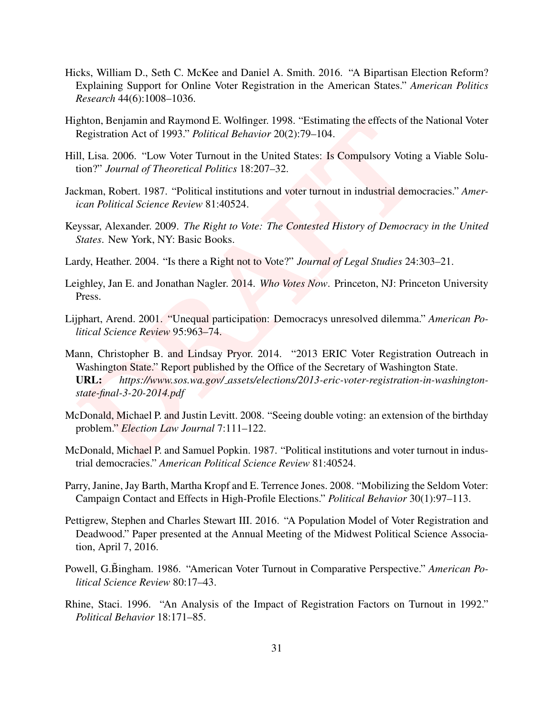- <span id="page-32-10"></span>Hicks, William D., Seth C. McKee and Daniel A. Smith. 2016. "A Bipartisan Election Reform? Explaining Support for Online Voter Registration in the American States." *American Politics Research* 44(6):1008–1036.
- <span id="page-32-9"></span>Highton, Benjamin and Raymond E. Wolfinger. 1998. "Estimating the effects of the National Voter Registration Act of 1993." *Political Behavior* 20(2):79–104.
- <span id="page-32-3"></span>Hill, Lisa. 2006. "Low Voter Turnout in the United States: Is Compulsory Voting a Viable Solution?" *Journal of Theoretical Politics* 18:207–32.
- <span id="page-32-4"></span>Jackman, Robert. 1987. "Political institutions and voter turnout in industrial democracies." *American Political Science Review* 81:40524.
- <span id="page-32-2"></span>Keyssar, Alexander. 2009. *The Right to Vote: The Contested History of Democracy in the United States*. New York, NY: Basic Books.
- <span id="page-32-7"></span>Lardy, Heather. 2004. "Is there a Right not to Vote?" *Journal of Legal Studies* 24:303–21.
- <span id="page-32-0"></span>Leighley, Jan E. and Jonathan Nagler. 2014. *Who Votes Now*. Princeton, NJ: Princeton University Press.
- <span id="page-32-14"></span><span id="page-32-8"></span>Lijphart, Arend. 2001. "Unequal participation: Democracys unresolved dilemma." *American Political Science Review* 95:963–74.
- ghton, Benjamin and Raymond E. Wolfinger. 1998. "Estimating the effects of the<br>Registration Act of 1993." *Political Behavior* 20(2):79–104.<br>
II, Lisa. 2006. "Low Voter Turnut in the United States: Is Compulsory Voting<br>
it Mann, Christopher B. and Lindsay Pryor. 2014. "2013 ERIC Voter Registration Outreach in Washington State." Report published by the Office of the Secretary of Washington State. URL: *https://www.sos.wa.gov/ assets/elections/2013-eric-voter-registration-in-washingtonstate-final-3-20-2014.pdf*
- <span id="page-32-11"></span>McDonald, Michael P. and Justin Levitt. 2008. "Seeing double voting: an extension of the birthday problem." *Election Law Journal* 7:111–122.
- <span id="page-32-6"></span>McDonald, Michael P. and Samuel Popkin. 1987. "Political institutions and voter turnout in industrial democracies." *American Political Science Review* 81:40524.
- <span id="page-32-1"></span>Parry, Janine, Jay Barth, Martha Kropf and E. Terrence Jones. 2008. "Mobilizing the Seldom Voter: Campaign Contact and Effects in High-Profile Elections." *Political Behavior* 30(1):97–113.
- <span id="page-32-12"></span>Pettigrew, Stephen and Charles Stewart III. 2016. "A Population Model of Voter Registration and Deadwood." Paper presented at the Annual Meeting of the Midwest Political Science Association, April 7, 2016.
- <span id="page-32-5"></span>Powell, G.Bingham. 1986. "American Voter Turnout in Comparative Perspective." American Po*litical Science Review* 80:17–43.
- <span id="page-32-13"></span>Rhine, Staci. 1996. "An Analysis of the Impact of Registration Factors on Turnout in 1992." *Political Behavior* 18:171–85.